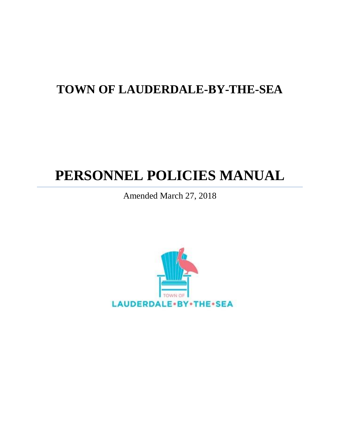# **TOWN OF LAUDERDALE-BY-THE-SEA**

# **PERSONNEL POLICIES MANUAL**

Amended March 27, 2018

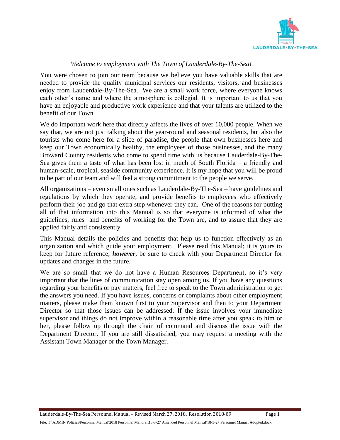

#### *Welcome to employment with The Town of Lauderdale-By-The-Sea!*

You were chosen to join our team because we believe you have valuable skills that are needed to provide the quality municipal services our residents, visitors, and businesses enjoy from Lauderdale-By-The-Sea. We are a small work force, where everyone knows each other's name and where the atmosphere is collegial. It is important to us that you have an enjoyable and productive work experience and that your talents are utilized to the benefit of our Town.

We do important work here that directly affects the lives of over 10,000 people. When we say that, we are not just talking about the year-round and seasonal residents, but also the tourists who come here for a slice of paradise, the people that own businesses here and keep our Town economically healthy, the employees of those businesses, and the many Broward County residents who come to spend time with us because Lauderdale-By-The-Sea gives them a taste of what has been lost in much of South Florida – a friendly and human-scale, tropical, seaside community experience. It is my hope that you will be proud to be part of our team and will feel a strong commitment to the people we serve.

All organizations – even small ones such as Lauderdale-By-The-Sea – have guidelines and regulations by which they operate, and provide benefits to employees who effectively perform their job and go that extra step whenever they can. One of the reasons for putting all of that information into this Manual is so that everyone is informed of what the guidelines, rules and benefits of working for the Town are, and to assure that they are applied fairly and consistently.

This Manual details the policies and benefits that help us to function effectively as an organization and which guide your employment. Please read this Manual; it is yours to keep for future reference; *however*, be sure to check with your Department Director for updates and changes in the future.

We are so small that we do not have a Human Resources Department, so it's very important that the lines of communication stay open among us. If you have any questions regarding your benefits or pay matters, feel free to speak to the Town administration to get the answers you need. If you have issues, concerns or complaints about other employment matters, please make them known first to your Supervisor and then to your Department Director so that those issues can be addressed. If the issue involves your immediate supervisor and things do not improve within a reasonable time after you speak to him or her, please follow up through the chain of command and discuss the issue with the Department Director. If you are still dissatisfied, you may request a meeting with the Assistant Town Manager or the Town Manager.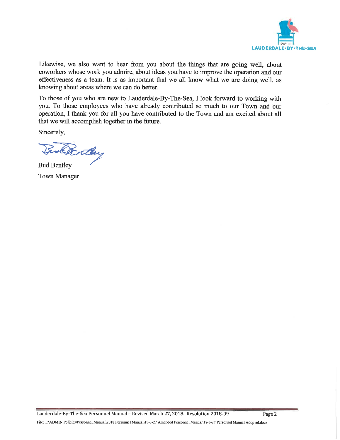

Likewise, we also want to hear from you about the things that are going well, about coworkers whose work you admire, about ideas you have to improve the operation and our effectiveness as a team. It is as important that we all know what we are doing well, as knowing about areas where we can do better.

To those of you who are new to Lauderdale-By-The-Sea, I look forward to working with you. To those employees who have already contributed so much to our Town and our operation, I thank you for all you have contributed to the Town and am excited about all that we will accomplish together in the future.

Sincerely,

Denthy

**Bud Bentley Town Manager**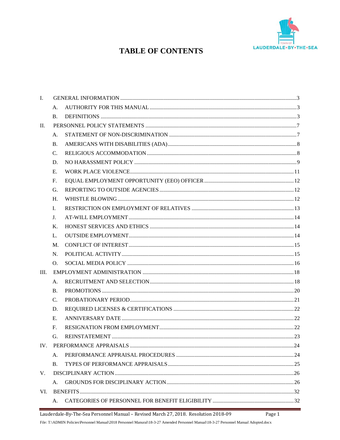

### **TABLE OF CONTENTS**

| I.   |                 |  |  |
|------|-----------------|--|--|
|      | А.              |  |  |
|      | <b>B.</b>       |  |  |
| П.   |                 |  |  |
|      | A.              |  |  |
|      | <b>B.</b>       |  |  |
|      | $\mathcal{C}$ . |  |  |
|      | D.              |  |  |
|      | Е.              |  |  |
|      | F.              |  |  |
|      | G.              |  |  |
|      | H.              |  |  |
|      | L.              |  |  |
|      | J.              |  |  |
|      | Κ.              |  |  |
|      | L.              |  |  |
|      | M.              |  |  |
|      | N.              |  |  |
|      | O.              |  |  |
| III. |                 |  |  |
|      | A.              |  |  |
|      | <b>B.</b>       |  |  |
|      | $\mathcal{C}$ . |  |  |
|      | D.              |  |  |
|      | Е.              |  |  |
|      | F.              |  |  |
|      | G.              |  |  |
|      |                 |  |  |
|      | A.              |  |  |
|      | Β.              |  |  |
| V.   |                 |  |  |
|      | Α.              |  |  |
| VI.  |                 |  |  |
|      | А.              |  |  |

Lauderdale-By-The-Sea Personnel Manual - Revised March 27, 2018. Resolution 2018-09 Page 1

File: T:\ADMIN Policies\Personnel Manual\2018 Personnel Manural\18-3-27 Amended Personnel Manual\18-3-27 Personnel Manual Adopted.docx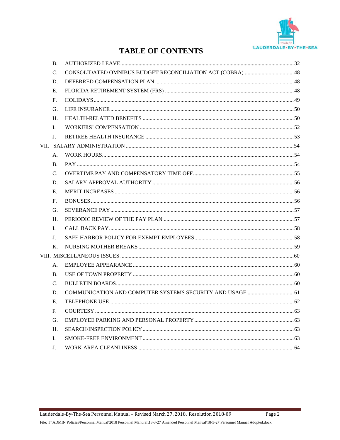

### **TABLE OF CONTENTS**

| <b>B.</b>      |  |
|----------------|--|
| C.             |  |
| D.             |  |
| E.             |  |
| F.             |  |
| G.             |  |
| H.             |  |
| L.             |  |
| $\mathbf{I}$ . |  |
|                |  |
| A.             |  |
| <b>B.</b>      |  |
| $C_{\cdot}$    |  |
| D.             |  |
| E.             |  |
| F.             |  |
| G.             |  |
| H <sub>1</sub> |  |
| L.             |  |
| J.             |  |
| K.             |  |
|                |  |
| A.             |  |
| <b>B.</b>      |  |
| $\mathbf{C}$ . |  |
| D.             |  |
| E.             |  |
| $F_{\cdot}$    |  |
| G.             |  |
| Η.             |  |
| L.             |  |
| J.             |  |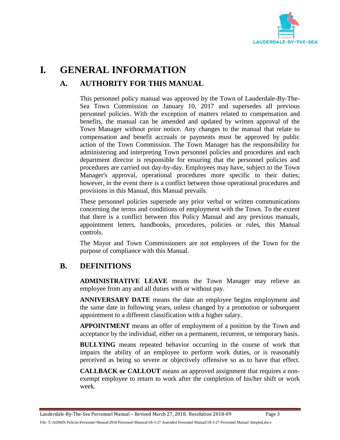

## <span id="page-5-1"></span><span id="page-5-0"></span>**I. GENERAL INFORMATION**

### **A. AUTHORITY FOR THIS MANUAL**

This personnel policy manual was approved by the Town of Lauderdale-By-The-Sea Town Commission on January 10, 2017 and supersedes all previous personnel policies. With the exception of matters related to compensation and benefits, the manual can be amended and updated by written approval of the Town Manager without prior notice. Any changes to the manual that relate to compensation and benefit accruals or payments must be approved by public action of the Town Commission. The Town Manager has the responsibility for administering and interpreting Town personnel policies and procedures and each department director is responsible for ensuring that the personnel policies and procedures are carried out day-by-day. Employees may have, subject to the Town Manager's approval, operational procedures more specific to their duties; however, in the event there is a conflict between those operational procedures and provisions in this Manual, this Manual prevails.

These personnel policies supersede any prior verbal or written communications concerning the terms and conditions of employment with the Town. To the extent that there is a conflict between this Policy Manual and any previous manuals, appointment letters, handbooks, procedures, policies or rules, this Manual controls.

The Mayor and Town Commissioners are not employees of the Town for the purpose of compliance with this Manual.

### <span id="page-5-2"></span>**B. DEFINITIONS**

**ADMINISTRATIVE LEAVE** means the Town Manager may relieve an employee from any and all duties with or without pay.

**ANNIVERSARY DATE** means the date an employee begins employment and the same date in following years, unless changed by a promotion or subsequent appointment to a different classification with a higher salary.

**APPOINTMENT** means an offer of employment of a position by the Town and acceptance by the individual, either on a permanent, recurrent, or temporary basis.

**BULLYING** means repeated behavior occurring in the course of work that impairs the ability of an employee to perform work duties, or is reasonably perceived as being so severe or objectively offensive so as to have that effect.

**CALLBACK or CALLOUT** means an approved assignment that requires a nonexempt employee to return to work after the completion of his/her shift or work week.

Lauderdale-By-The-Sea Personnel Manual – Revised March 27, 2018. Resolution 2018-09 Page 3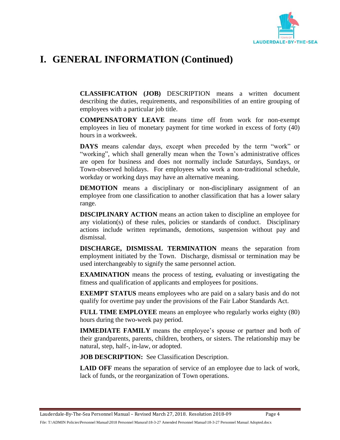

# **I. GENERAL INFORMATION (Continued)**

**CLASSIFICATION (JOB)** DESCRIPTION means a written document describing the duties, requirements, and responsibilities of an entire grouping of employees with a particular job title.

**COMPENSATORY LEAVE** means time off from work for non-exempt employees in lieu of monetary payment for time worked in excess of forty (40) hours in a workweek.

**DAYS** means calendar days, except when preceded by the term "work" or "working", which shall generally mean when the Town's administrative offices are open for business and does not normally include Saturdays, Sundays, or Town-observed holidays. For employees who work a non-traditional schedule, workday or working days may have an alternative meaning.

**DEMOTION** means a disciplinary or non-disciplinary assignment of an employee from one classification to another classification that has a lower salary range.

**DISCIPLINARY ACTION** means an action taken to discipline an employee for any violation(s) of these rules, policies or standards of conduct. Disciplinary actions include written reprimands, demotions, suspension without pay and dismissal.

**DISCHARGE, DISMISSAL TERMINATION** means the separation from employment initiated by the Town. Discharge, dismissal or termination may be used interchangeably to signify the same personnel action.

**EXAMINATION** means the process of testing, evaluating or investigating the fitness and qualification of applicants and employees for positions.

**EXEMPT STATUS** means employees who are paid on a salary basis and do not qualify for overtime pay under the provisions of the Fair Labor Standards Act.

**FULL TIME EMPLOYEE** means an employee who regularly works eighty (80) hours during the two-week pay period.

**IMMEDIATE FAMILY** means the employee's spouse or partner and both of their grandparents, parents, children, brothers, or sisters. The relationship may be natural, step, half-, in-law, or adopted.

**JOB DESCRIPTION:** See Classification Description.

**LAID OFF** means the separation of service of an employee due to lack of work, lack of funds, or the reorganization of Town operations.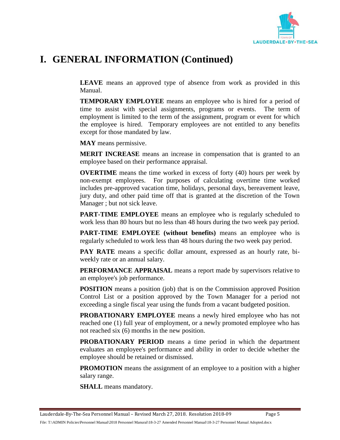

# **I. GENERAL INFORMATION (Continued)**

**LEAVE** means an approved type of absence from work as provided in this Manual.

**TEMPORARY EMPLOYEE** means an employee who is hired for a period of time to assist with special assignments, programs or events. The term of employment is limited to the term of the assignment, program or event for which the employee is hired. Temporary employees are not entitled to any benefits except for those mandated by law.

**MAY** means permissive.

**MERIT INCREASE** means an increase in compensation that is granted to an employee based on their performance appraisal.

**OVERTIME** means the time worked in excess of forty (40) hours per week by non-exempt employees. For purposes of calculating overtime time worked includes pre-approved vacation time, holidays, personal days, bereavement leave, jury duty, and other paid time off that is granted at the discretion of the Town Manager ; but not sick leave.

**PART-TIME EMPLOYEE** means an employee who is regularly scheduled to work less than 80 hours but no less than 48 hours during the two week pay period.

**PART-TIME EMPLOYEE (without benefits)** means an employee who is regularly scheduled to work less than 48 hours during the two week pay period.

**PAY RATE** means a specific dollar amount, expressed as an hourly rate, biweekly rate or an annual salary.

**PERFORMANCE APPRAISAL** means a report made by supervisors relative to an employee's job performance.

**POSITION** means a position (job) that is on the Commission approved Position Control List or a position approved by the Town Manager for a period not exceeding a single fiscal year using the funds from a vacant budgeted position.

**PROBATIONARY EMPLOYEE** means a newly hired employee who has not reached one (1) full year of employment, or a newly promoted employee who has not reached six (6) months in the new position.

**PROBATIONARY PERIOD** means a time period in which the department evaluates an employee's performance and ability in order to decide whether the employee should be retained or dismissed.

**PROMOTION** means the assignment of an employee to a position with a higher salary range.

**SHALL** means mandatory.

Lauderdale-By-The-Sea Personnel Manual – Revised March 27, 2018. Resolution 2018-09 Page 5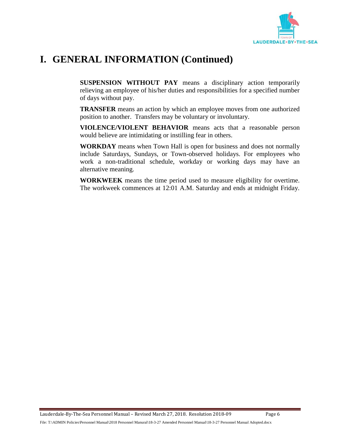

# **I. GENERAL INFORMATION (Continued)**

**SUSPENSION WITHOUT PAY** means a disciplinary action temporarily relieving an employee of his/her duties and responsibilities for a specified number of days without pay.

**TRANSFER** means an action by which an employee moves from one authorized position to another. Transfers may be voluntary or involuntary.

**VIOLENCE/VIOLENT BEHAVIOR** means acts that a reasonable person would believe are intimidating or instilling fear in others.

**WORKDAY** means when Town Hall is open for business and does not normally include Saturdays, Sundays, or Town-observed holidays. For employees who work a non-traditional schedule, workday or working days may have an alternative meaning.

<span id="page-8-0"></span>**WORKWEEK** means the time period used to measure eligibility for overtime. The workweek commences at 12:01 A.M. Saturday and ends at midnight Friday.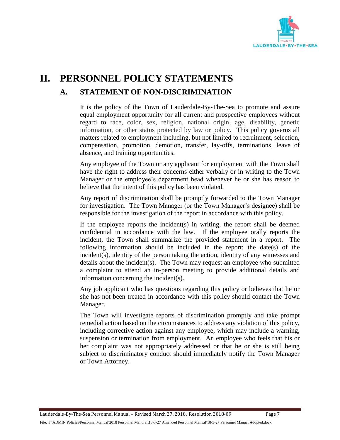

# <span id="page-9-0"></span>**II. PERSONNEL POLICY STATEMENTS A. STATEMENT OF NON-DISCRIMINATION**

It is the policy of the Town of Lauderdale-By-The-Sea to promote and assure equal employment opportunity for all current and prospective employees without regard to race, color, sex, religion, national origin, age, disability, genetic information, or other status protected by law or policy. This policy governs all matters related to employment including, but not limited to recruitment, selection, compensation, promotion, demotion, transfer, lay-offs, terminations, leave of absence, and training opportunities.

Any employee of the Town or any applicant for employment with the Town shall have the right to address their concerns either verbally or in writing to the Town Manager or the employee's department head whenever he or she has reason to believe that the intent of this policy has been violated.

Any report of discrimination shall be promptly forwarded to the Town Manager for investigation. The Town Manager (or the Town Manager's designee) shall be responsible for the investigation of the report in accordance with this policy.

If the employee reports the incident(s) in writing, the report shall be deemed confidential in accordance with the law. If the employee orally reports the incident, the Town shall summarize the provided statement in a report. The following information should be included in the report: the date(s) of the incident(s), identity of the person taking the action, identity of any witnesses and details about the incident(s). The Town may request an employee who submitted a complaint to attend an in-person meeting to provide additional details and information concerning the incident(s).

Any job applicant who has questions regarding this policy or believes that he or she has not been treated in accordance with this policy should contact the Town Manager.

The Town will investigate reports of discrimination promptly and take prompt remedial action based on the circumstances to address any violation of this policy, including corrective action against any employee, which may include a warning, suspension or termination from employment. An employee who feels that his or her complaint was not appropriately addressed or that he or she is still being subject to discriminatory conduct should immediately notify the Town Manager or Town Attorney.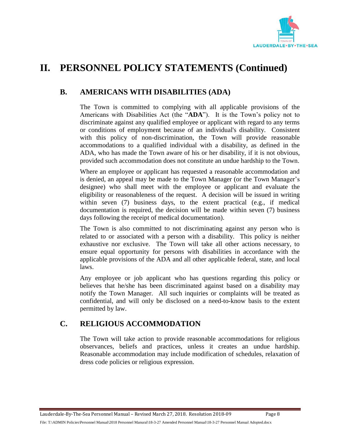

### <span id="page-10-0"></span>**B. AMERICANS WITH DISABILITIES (ADA)**

The Town is committed to complying with all applicable provisions of the Americans with Disabilities Act (the "**ADA**"). It is the Town's policy not to discriminate against any qualified employee or applicant with regard to any terms or conditions of employment because of an individual's disability. Consistent with this policy of non-discrimination, the Town will provide reasonable accommodations to a qualified individual with a disability, as defined in the ADA, who has made the Town aware of his or her disability, if it is not obvious, provided such accommodation does not constitute an undue hardship to the Town.

Where an employee or applicant has requested a reasonable accommodation and is denied, an appeal may be made to the Town Manager (or the Town Manager's designee) who shall meet with the employee or applicant and evaluate the eligibility or reasonableness of the request. A decision will be issued in writing within seven (7) business days, to the extent practical (e.g., if medical documentation is required, the decision will be made within seven (7) business days following the receipt of medical documentation).

The Town is also committed to not discriminating against any person who is related to or associated with a person with a disability. This policy is neither exhaustive nor exclusive. The Town will take all other actions necessary, to ensure equal opportunity for persons with disabilities in accordance with the applicable provisions of the ADA and all other applicable federal, state, and local laws.

Any employee or job applicant who has questions regarding this policy or believes that he/she has been discriminated against based on a disability may notify the Town Manager. All such inquiries or complaints will be treated as confidential, and will only be disclosed on a need-to-know basis to the extent permitted by law.

### <span id="page-10-1"></span>**C. RELIGIOUS ACCOMMODATION**

The Town will take action to provide reasonable accommodations for religious observances, beliefs and practices, unless it creates an undue hardship. Reasonable accommodation may include modification of schedules, relaxation of dress code policies or religious expression.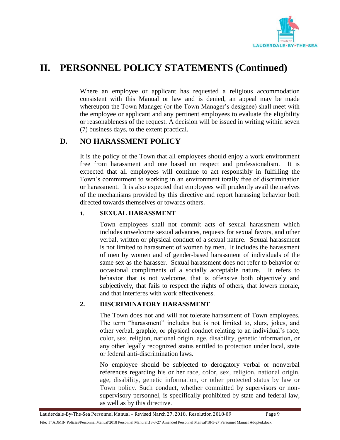

Where an employee or applicant has requested a religious accommodation consistent with this Manual or law and is denied, an appeal may be made whereupon the Town Manager (or the Town Manager's designee) shall meet with the employee or applicant and any pertinent employees to evaluate the eligibility or reasonableness of the request. A decision will be issued in writing within seven (7) business days, to the extent practical.

### <span id="page-11-0"></span>**D. NO HARASSMENT POLICY**

It is the policy of the Town that all employees should enjoy a work environment free from harassment and one based on respect and professionalism. It is expected that all employees will continue to act responsibly in fulfilling the Town's commitment to working in an environment totally free of discrimination or harassment. It is also expected that employees will prudently avail themselves of the mechanisms provided by this directive and report harassing behavior both directed towards themselves or towards others.

#### **1. SEXUAL HARASSMENT**

Town employees shall not commit acts of sexual harassment which includes unwelcome sexual advances, requests for sexual favors, and other verbal, written or physical conduct of a sexual nature. Sexual harassment is not limited to harassment of women by men. It includes the harassment of men by women and of gender-based harassment of individuals of the same sex as the harasser. Sexual harassment does not refer to behavior or occasional compliments of a socially acceptable nature. It refers to behavior that is not welcome, that is offensive both objectively and subjectively, that fails to respect the rights of others, that lowers morale, and that interferes with work effectiveness.

#### **2. DISCRIMINATORY HARASSMENT**

The Town does not and will not tolerate harassment of Town employees. The term "harassment" includes but is not limited to, slurs, jokes, and other verbal, graphic, or physical conduct relating to an individual's race, color, sex, religion, national origin, age, disability, genetic information, or any other legally recognized status entitled to protection under local, state or federal anti-discrimination laws.

No employee should be subjected to derogatory verbal or nonverbal references regarding his or her race, color, sex, religion, national origin, age, disability, genetic information, or other protected status by law or Town policy. Such conduct, whether committed by supervisors or nonsupervisory personnel, is specifically prohibited by state and federal law, as well as by this directive.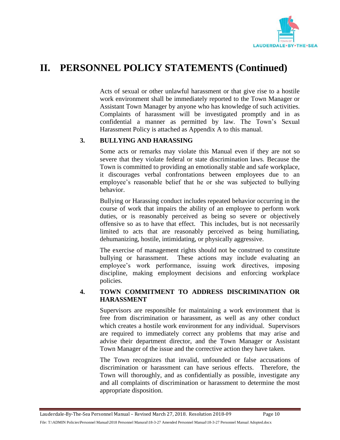

Acts of sexual or other unlawful harassment or that give rise to a hostile work environment shall be immediately reported to the Town Manager or Assistant Town Manager by anyone who has knowledge of such activities. Complaints of harassment will be investigated promptly and in as confidential a manner as permitted by law. The Town's Sexual Harassment Policy is attached as Appendix A to this manual.

#### **3. BULLYING AND HARASSING**

Some acts or remarks may violate this Manual even if they are not so severe that they violate federal or state discrimination laws. Because the Town is committed to providing an emotionally stable and safe workplace, it discourages verbal confrontations between employees due to an employee's reasonable belief that he or she was subjected to bullying behavior.

Bullying or Harassing conduct includes repeated behavior occurring in the course of work that impairs the ability of an employee to perform work duties, or is reasonably perceived as being so severe or objectively offensive so as to have that effect. This includes, but is not necessarily limited to acts that are reasonably perceived as being humiliating, dehumanizing, hostile, intimidating, or physically aggressive.

The exercise of management rights should not be construed to constitute bullying or harassment. These actions may include evaluating an employee's work performance, issuing work directives, imposing discipline, making employment decisions and enforcing workplace policies.

#### **4. TOWN COMMITMENT TO ADDRESS DISCRIMINATION OR HARASSMENT**

Supervisors are responsible for maintaining a work environment that is free from discrimination or harassment, as well as any other conduct which creates a hostile work environment for any individual. Supervisors are required to immediately correct any problems that may arise and advise their department director, and the Town Manager or Assistant Town Manager of the issue and the corrective action they have taken.

The Town recognizes that invalid, unfounded or false accusations of discrimination or harassment can have serious effects. Therefore, the Town will thoroughly, and as confidentially as possible, investigate any and all complaints of discrimination or harassment to determine the most appropriate disposition.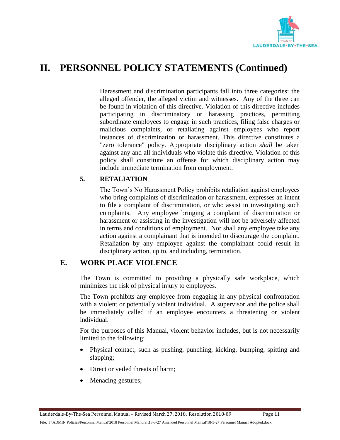

Harassment and discrimination participants fall into three categories: the alleged offender, the alleged victim and witnesses. Any of the three can be found in violation of this directive. Violation of this directive includes participating in discriminatory or harassing practices, permitting subordinate employees to engage in such practices, filing false charges or malicious complaints, or retaliating against employees who report instances of discrimination or harassment. This directive constitutes a "zero tolerance" policy. Appropriate disciplinary action *shall* be taken against any and all individuals who violate this directive. Violation of this policy shall constitute an offense for which disciplinary action may include immediate termination from employment.

#### **5. RETALIATION**

The Town's No Harassment Policy prohibits retaliation against employees who bring complaints of discrimination or harassment, expresses an intent to file a complaint of discrimination, or who assist in investigating such complaints. Any employee bringing a complaint of discrimination or harassment or assisting in the investigation will not be adversely affected in terms and conditions of employment. Nor shall any employee take any action against a complainant that is intended to discourage the complaint. Retaliation by any employee against the complainant could result in disciplinary action, up to, and including, termination.

#### <span id="page-13-0"></span>**E. WORK PLACE VIOLENCE**

The Town is committed to providing a physically safe workplace, which minimizes the risk of physical injury to employees.

The Town prohibits any employee from engaging in any physical confrontation with a violent or potentially violent individual. A supervisor and the police shall be immediately called if an employee encounters a threatening or violent individual.

For the purposes of this Manual, violent behavior includes, but is not necessarily limited to the following:

- Physical contact, such as pushing, punching, kicking, bumping, spitting and slapping;
- Direct or veiled threats of harm;
- Menacing gestures;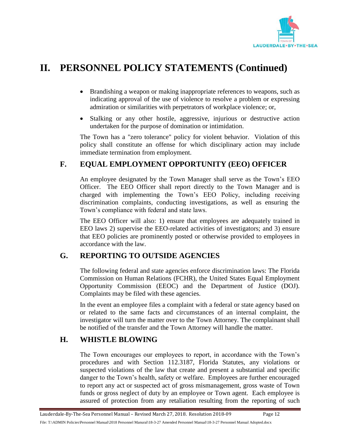

- Brandishing a weapon or making inappropriate references to weapons, such as indicating approval of the use of violence to resolve a problem or expressing admiration or similarities with perpetrators of workplace violence; or,
- Stalking or any other hostile, aggressive, injurious or destructive action undertaken for the purpose of domination or intimidation.

The Town has a "zero tolerance" policy for violent behavior. Violation of this policy shall constitute an offense for which disciplinary action may include immediate termination from employment.

### <span id="page-14-0"></span>**F. EQUAL EMPLOYMENT OPPORTUNITY (EEO) OFFICER**

An employee designated by the Town Manager shall serve as the Town's EEO Officer. The EEO Officer shall report directly to the Town Manager and is charged with implementing the Town's EEO Policy, including receiving discrimination complaints, conducting investigations, as well as ensuring the Town's compliance with federal and state laws.

The EEO Officer will also: 1) ensure that employees are adequately trained in EEO laws 2) supervise the EEO-related activities of investigators; and 3) ensure that EEO policies are prominently posted or otherwise provided to employees in accordance with the law.

### <span id="page-14-1"></span>**G. REPORTING TO OUTSIDE AGENCIES**

The following federal and state agencies enforce discrimination laws: The Florida Commission on Human Relations (FCHR), the United States Equal Employment Opportunity Commission (EEOC) and the Department of Justice (DOJ). Complaints may be filed with these agencies.

In the event an employee files a complaint with a federal or state agency based on or related to the same facts and circumstances of an internal complaint, the investigator will turn the matter over to the Town Attorney. The complainant shall be notified of the transfer and the Town Attorney will handle the matter.

### <span id="page-14-2"></span>**H. WHISTLE BLOWING**

The Town encourages our employees to report, in accordance with the Town's procedures and with Section 112.3187, Florida Statutes, any violations or suspected violations of the law that create and present a substantial and specific danger to the Town's health, safety or welfare. Employees are further encouraged to report any act or suspected act of gross mismanagement, gross waste of Town funds or gross neglect of duty by an employee or Town agent. Each employee is assured of protection from any retaliation resulting from the reporting of such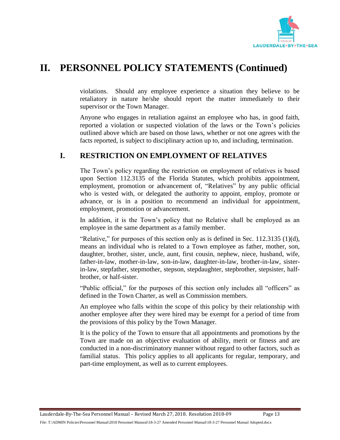

violations. Should any employee experience a situation they believe to be retaliatory in nature he/she should report the matter immediately to their supervisor or the Town Manager.

Anyone who engages in retaliation against an employee who has, in good faith, reported a violation or suspected violation of the laws or the Town's policies outlined above which are based on those laws, whether or not one agrees with the facts reported, is subject to disciplinary action up to, and including, termination.

### <span id="page-15-0"></span>**I. RESTRICTION ON EMPLOYMENT OF RELATIVES**

The Town's policy regarding the restriction on employment of relatives is based upon Section 112.3135 of the Florida Statutes, which prohibits appointment, employment, promotion or advancement of, "Relatives" by any public official who is vested with, or delegated the authority to appoint, employ, promote or advance, or is in a position to recommend an individual for appointment, employment, promotion or advancement.

In addition, it is the Town's policy that no Relative shall be employed as an employee in the same department as a family member.

"Relative," for purposes of this section only as is defined in Sec. 112.3135 (1)(d), means an individual who is related to a Town employee as father, mother, son, daughter, brother, sister, uncle, aunt, first cousin, nephew, niece, husband, wife, father-in-law, mother-in-law, son-in-law, daughter-in-law, brother-in-law, sisterin-law, stepfather, stepmother, stepson, stepdaughter, stepbrother, stepsister, halfbrother, or half-sister.

"Public official," for the purposes of this section only includes all "officers" as defined in the Town Charter, as well as Commission members.

An employee who falls within the scope of this policy by their relationship with another employee after they were hired may be exempt for a period of time from the provisions of this policy by the Town Manager.

It is the policy of the Town to ensure that all appointments and promotions by the Town are made on an objective evaluation of ability, merit or fitness and are conducted in a non-discriminatory manner without regard to other factors, such as familial status. This policy applies to all applicants for regular, temporary, and part-time employment, as well as to current employees.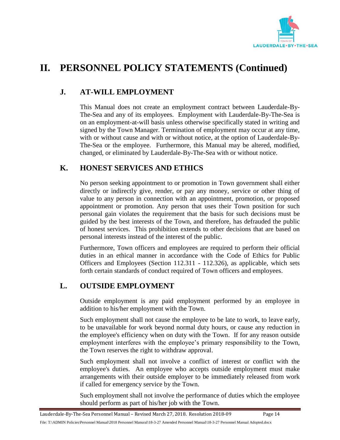

### <span id="page-16-0"></span>**J. AT-WILL EMPLOYMENT**

This Manual does not create an employment contract between Lauderdale-By-The-Sea and any of its employees. Employment with Lauderdale-By-The-Sea is on an employment-at-will basis unless otherwise specifically stated in writing and signed by the Town Manager. Termination of employment may occur at any time, with or without cause and with or without notice, at the option of Lauderdale-By-The-Sea or the employee. Furthermore, this Manual may be altered, modified, changed, or eliminated by Lauderdale-By-The-Sea with or without notice.

### <span id="page-16-1"></span>**K. HONEST SERVICES AND ETHICS**

No person seeking appointment to or promotion in Town government shall either directly or indirectly give, render, or pay any money, service or other thing of value to any person in connection with an appointment, promotion, or proposed appointment or promotion. Any person that uses their Town position for such personal gain violates the requirement that the basis for such decisions must be guided by the best interests of the Town, and therefore, has defrauded the public of honest services. This prohibition extends to other decisions that are based on personal interests instead of the interest of the public.

Furthermore, Town officers and employees are required to perform their official duties in an ethical manner in accordance with the Code of Ethics for Public Officers and Employees (Section 112.311 - 112.326), as applicable, which sets forth certain standards of conduct required of Town officers and employees.

### <span id="page-16-2"></span>**L. OUTSIDE EMPLOYMENT**

Outside employment is any paid employment performed by an employee in addition to his/her employment with the Town.

Such employment shall not cause the employee to be late to work, to leave early, to be unavailable for work beyond normal duty hours, or cause any reduction in the employee's efficiency when on duty with the Town. If for any reason outside employment interferes with the employee's primary responsibility to the Town, the Town reserves the right to withdraw approval.

Such employment shall not involve a conflict of interest or conflict with the employee's duties. An employee who accepts outside employment must make arrangements with their outside employer to be immediately released from work if called for emergency service by the Town.

Such employment shall not involve the performance of duties which the employee should perform as part of his/her job with the Town.

File: T:\ADMIN Policies\Personnel Manual\2018 Personnel Manural\18-3-27 Amended Personnel Manual\18-3-27 Personnel Manual Adopted.docx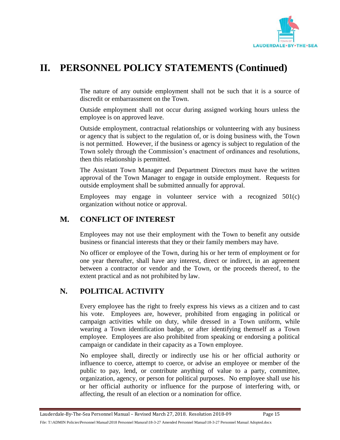

The nature of any outside employment shall not be such that it is a source of discredit or embarrassment on the Town.

Outside employment shall not occur during assigned working hours unless the employee is on approved leave.

Outside employment, contractual relationships or volunteering with any business or agency that is subject to the regulation of, or is doing business with, the Town is not permitted. However, if the business or agency is subject to regulation of the Town solely through the Commission's enactment of ordinances and resolutions, then this relationship is permitted.

The Assistant Town Manager and Department Directors must have the written approval of the Town Manager to engage in outside employment. Requests for outside employment shall be submitted annually for approval.

Employees may engage in volunteer service with a recognized 501(c) organization without notice or approval.

### <span id="page-17-0"></span>**M. CONFLICT OF INTEREST**

Employees may not use their employment with the Town to benefit any outside business or financial interests that they or their family members may have.

No officer or employee of the Town, during his or her term of employment or for one year thereafter, shall have any interest, direct or indirect, in an agreement between a contractor or vendor and the Town, or the proceeds thereof, to the extent practical and as not prohibited by law.

### <span id="page-17-1"></span>**N. POLITICAL ACTIVITY**

Every employee has the right to freely express his views as a citizen and to cast his vote. Employees are, however, prohibited from engaging in political or campaign activities while on duty, while dressed in a Town uniform, while wearing a Town identification badge, or after identifying themself as a Town employee. Employees are also prohibited from speaking or endorsing a political campaign or candidate in their capacity as a Town employee.

No employee shall, directly or indirectly use his or her official authority or influence to coerce, attempt to coerce, or advise an employee or member of the public to pay, lend, or contribute anything of value to a party, committee, organization, agency, or person for political purposes. No employee shall use his or her official authority or influence for the purpose of interfering with, or affecting, the result of an election or a nomination for office.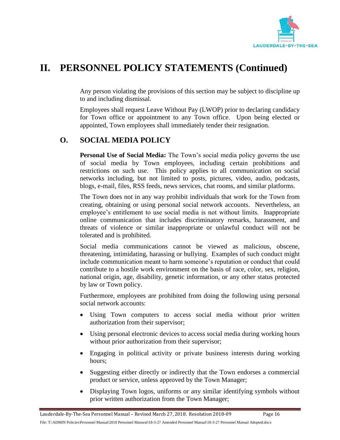

Any person violating the provisions of this section may be subject to discipline up to and including dismissal.

Employees shall request Leave Without Pay (LWOP) prior to declaring candidacy for Town office or appointment to any Town office. Upon being elected or appointed, Town employees shall immediately tender their resignation.

### <span id="page-18-0"></span>**O. SOCIAL MEDIA POLICY**

**Personal Use of Social Media:** The Town's social media policy governs the use of social media by Town employees, including certain prohibitions and restrictions on such use. This policy applies to all communication on social networks including, but not limited to posts, pictures, video, audio, podcasts, blogs, e-mail, files, RSS feeds, news services, chat rooms, and similar platforms.

The Town does not in any way prohibit individuals that work for the Town from creating, obtaining or using personal social network accounts. Nevertheless, an employee's entitlement to use social media is not without limits. Inappropriate online communication that includes discriminatory remarks, harassment, and threats of violence or similar inappropriate or unlawful conduct will not be tolerated and is prohibited.

Social media communications cannot be viewed as malicious, obscene, threatening, intimidating, harassing or bullying. Examples of such conduct might include communication meant to harm someone's reputation or conduct that could contribute to a hostile work environment on the basis of race, color, sex, religion, national origin, age, disability, genetic information, or any other status protected by law or Town policy.

Furthermore, employees are prohibited from doing the following using personal social network accounts:

- Using Town computers to access social media without prior written authorization from their supervisor;
- Using personal electronic devices to access social media during working hours without prior authorization from their supervisor;
- Engaging in political activity or private business interests during working hours;
- Suggesting either directly or indirectly that the Town endorses a commercial product or service, unless approved by the Town Manager;
- Displaying Town logos, uniforms or any similar identifying symbols without prior written authorization from the Town Manager;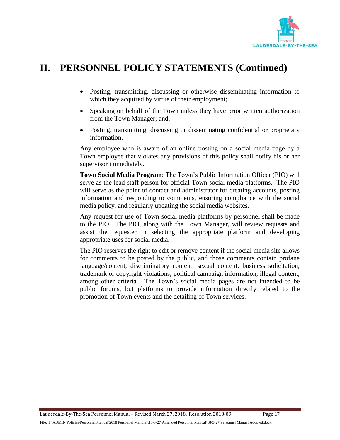

- Posting, transmitting, discussing or otherwise disseminating information to which they acquired by virtue of their employment;
- Speaking on behalf of the Town unless they have prior written authorization from the Town Manager; and,
- Posting, transmitting, discussing or disseminating confidential or proprietary information.

Any employee who is aware of an online posting on a social media page by a Town employee that violates any provisions of this policy shall notify his or her supervisor immediately.

**Town Social Media Program**: The Town's Public Information Officer (PIO) will serve as the lead staff person for official Town social media platforms. The PIO will serve as the point of contact and administrator for creating accounts, posting information and responding to comments, ensuring compliance with the social media policy, and regularly updating the social media websites.

Any request for use of Town social media platforms by personnel shall be made to the PIO. The PIO, along with the Town Manager, will review requests and assist the requester in selecting the appropriate platform and developing appropriate uses for social media.

The PIO reserves the right to edit or remove content if the social media site allows for comments to be posted by the public, and those comments contain profane language/content, discriminatory content, sexual content, business solicitation, trademark or copyright violations, political campaign information, illegal content, among other criteria. The Town's social media pages are not intended to be public forums, but platforms to provide information directly related to the promotion of Town events and the detailing of Town services.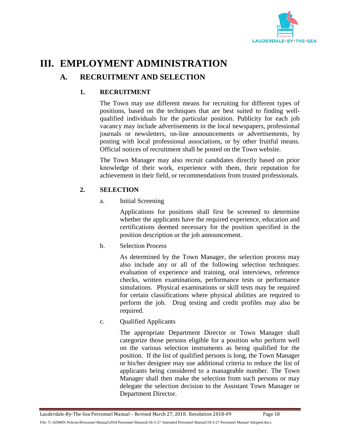

# <span id="page-20-1"></span><span id="page-20-0"></span>**III. EMPLOYMENT ADMINISTRATION**

### **A. RECRUITMENT AND SELECTION**

### **1. RECRUITMENT**

The Town may use different means for recruiting for different types of positions, based on the techniques that are best suited to finding wellqualified individuals for the particular position. Publicity for each job vacancy may include advertisements in the local newspapers, professional journals or newsletters, on-line announcements or advertisements, by posting with local professional associations, or by other fruitful means. Official notices of recruitment shall be posted on the Town website.

The Town Manager may also recruit candidates directly based on prior knowledge of their work, experience with them, their reputation for achievement in their field, or recommendations from trusted professionals.

#### **2. SELECTION**

a. Initial Screening

Applications for positions shall first be screened to determine whether the applicants have the required experience, education and certifications deemed necessary for the position specified in the position description or the job announcement.

b. Selection Process

As determined by the Town Manager, the selection process may also include any or all of the following selection techniques: evaluation of experience and training, oral interviews, reference checks, written examinations, performance tests or performance simulations. Physical examinations or skill tests may be required for certain classifications where physical abilities are required to perform the job. Drug testing and credit profiles may also be required.

c. Qualified Applicants

The appropriate Department Director or Town Manager shall categorize those persons eligible for a position who perform well on the various selection instruments as being qualified for the position. If the list of qualified persons is long, the Town Manager or his/her designee may use additional criteria to reduce the list of applicants being considered to a manageable number. The Town Manager shall then make the selection from such persons or may delegate the selection decision to the Assistant Town Manager or Department Director.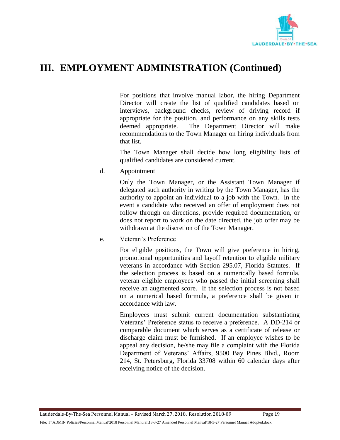

For positions that involve manual labor, the hiring Department Director will create the list of qualified candidates based on interviews, background checks, review of driving record if appropriate for the position, and performance on any skills tests deemed appropriate. The Department Director will make recommendations to the Town Manager on hiring individuals from that list.

The Town Manager shall decide how long eligibility lists of qualified candidates are considered current.

d. Appointment

Only the Town Manager, or the Assistant Town Manager if delegated such authority in writing by the Town Manager, has the authority to appoint an individual to a job with the Town. In the event a candidate who received an offer of employment does not follow through on directions, provide required documentation, or does not report to work on the date directed, the job offer may be withdrawn at the discretion of the Town Manager.

e. Veteran's Preference

For eligible positions, the Town will give preference in hiring, promotional opportunities and layoff retention to eligible military veterans in accordance with Section 295.07, Florida Statutes. If the selection process is based on a numerically based formula, veteran eligible employees who passed the initial screening shall receive an augmented score. If the selection process is not based on a numerical based formula, a preference shall be given in accordance with law.

Employees must submit current documentation substantiating Veterans' Preference status to receive a preference. A DD-214 or comparable document which serves as a certificate of release or discharge claim must be furnished. If an employee wishes to be appeal any decision, he/she may file a complaint with the Florida Department of Veterans' Affairs, 9500 Bay Pines Blvd., Room 214, St. Petersburg, Florida 33708 within 60 calendar days after receiving notice of the decision.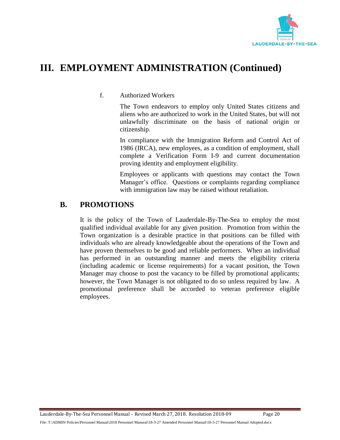

#### f. Authorized Workers

The Town endeavors to employ only United States citizens and aliens who are authorized to work in the United States, but will not unlawfully discriminate on the basis of national origin or citizenship.

In compliance with the Immigration Reform and Control Act of 1986 (IRCA), new employees, as a condition of employment, shall complete a Verification Form I-9 and current documentation proving identity and employment eligibility.

Employees or applicants with questions may contact the Town Manager's office. Questions or complaints regarding compliance with immigration law may be raised without retaliation.

#### <span id="page-22-0"></span>**B. PROMOTIONS**

It is the policy of the Town of Lauderdale-By-The-Sea to employ the most qualified individual available for any given position. Promotion from within the Town organization is a desirable practice in that positions can be filled with individuals who are already knowledgeable about the operations of the Town and have proven themselves to be good and reliable performers. When an individual has performed in an outstanding manner and meets the eligibility criteria (including academic or license requirements) for a vacant position, the Town Manager may choose to post the vacancy to be filled by promotional applicants; however, the Town Manager is not obligated to do so unless required by law. A promotional preference shall be accorded to veteran preference eligible employees.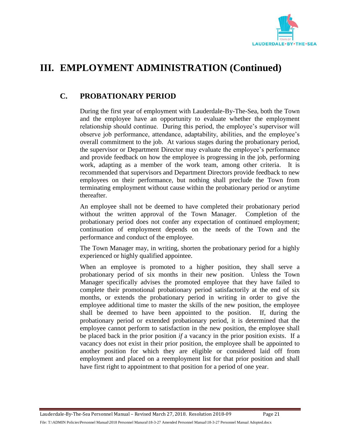

### <span id="page-23-0"></span>**C. PROBATIONARY PERIOD**

During the first year of employment with Lauderdale-By-The-Sea, both the Town and the employee have an opportunity to evaluate whether the employment relationship should continue. During this period, the employee's supervisor will observe job performance, attendance, adaptability, abilities, and the employee's overall commitment to the job. At various stages during the probationary period, the supervisor or Department Director may evaluate the employee's performance and provide feedback on how the employee is progressing in the job, performing work, adapting as a member of the work team, among other criteria. It is recommended that supervisors and Department Directors provide feedback to new employees on their performance, but nothing shall preclude the Town from terminating employment without cause within the probationary period or anytime thereafter.

An employee shall not be deemed to have completed their probationary period without the written approval of the Town Manager. Completion of the probationary period does not confer any expectation of continued employment; continuation of employment depends on the needs of the Town and the performance and conduct of the employee*.*

The Town Manager may, in writing, shorten the probationary period for a highly experienced or highly qualified appointee.

When an employee is promoted to a higher position, they shall serve a probationary period of six months in their new position. Unless the Town Manager specifically advises the promoted employee that they have failed to complete their promotional probationary period satisfactorily at the end of six months, or extends the probationary period in writing in order to give the employee additional time to master the skills of the new position, the employee shall be deemed to have been appointed to the position. If, during the probationary period or extended probationary period, it is determined that the employee cannot perform to satisfaction in the new position, the employee shall be placed back in the prior position *if* a vacancy in the prior position exists. If a vacancy does not exist in their prior position, the employee shall be appointed to another position for which they are eligible or considered laid off from employment and placed on a reemployment list for that prior position and shall have first right to appointment to that position for a period of one year.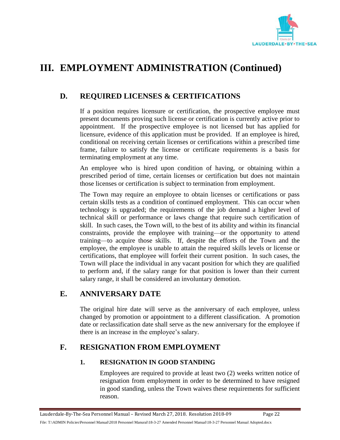

### <span id="page-24-0"></span>**D. REQUIRED LICENSES & CERTIFICATIONS**

If a position requires licensure or certification, the prospective employee must present documents proving such license or certification is currently active prior to appointment. If the prospective employee is not licensed but has applied for licensure, evidence of this application must be provided. If an employee is hired, conditional on receiving certain licenses or certifications within a prescribed time frame, failure to satisfy the license or certificate requirements is a basis for terminating employment at any time.

An employee who is hired upon condition of having, or obtaining within a prescribed period of time, certain licenses or certification but does not maintain those licenses or certification is subject to termination from employment.

The Town may require an employee to obtain licenses or certifications or pass certain skills tests as a condition of continued employment. This can occur when technology is upgraded; the requirements of the job demand a higher level of technical skill or performance or laws change that require such certification of skill. In such cases, the Town will, to the best of its ability and within its financial constraints, provide the employee with training—or the opportunity to attend training—to acquire those skills. If, despite the efforts of the Town and the employee, the employee is unable to attain the required skills levels or license or certifications, that employee will forfeit their current position. In such cases, the Town will place the individual in any vacant position for which they are qualified to perform and, if the salary range for that position is lower than their current salary range, it shall be considered an involuntary demotion.

### <span id="page-24-1"></span>**E. ANNIVERSARY DATE**

The original hire date will serve as the anniversary of each employee, unless changed by promotion or appointment to a different classification. A promotion date or reclassification date shall serve as the new anniversary for the employee if there is an increase in the employee's salary.

### <span id="page-24-2"></span>**F. RESIGNATION FROM EMPLOYMENT**

#### **1. RESIGNATION IN GOOD STANDING**

Employees are required to provide at least two (2) weeks written notice of resignation from employment in order to be determined to have resigned in good standing, unless the Town waives these requirements for sufficient reason.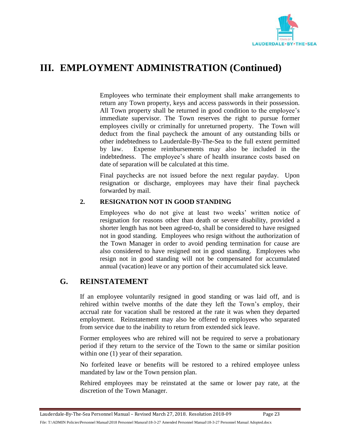

Employees who terminate their employment shall make arrangements to return any Town property, keys and access passwords in their possession. All Town property shall be returned in good condition to the employee's immediate supervisor. The Town reserves the right to pursue former employees civilly or criminally for unreturned property. The Town will deduct from the final paycheck the amount of any outstanding bills or other indebtedness to Lauderdale-By-The-Sea to the full extent permitted by law. Expense reimbursements may also be included in the indebtedness. The employee's share of health insurance costs based on date of separation will be calculated at this time.

Final paychecks are not issued before the next regular payday. Upon resignation or discharge, employees may have their final paycheck forwarded by mail.

#### **2. RESIGNATION NOT IN GOOD STANDING**

Employees who do not give at least two weeks' written notice of resignation for reasons other than death or severe disability, provided a shorter length has not been agreed-to, shall be considered to have resigned not in good standing. Employees who resign without the authorization of the Town Manager in order to avoid pending termination for cause are also considered to have resigned not in good standing. Employees who resign not in good standing will not be compensated for accumulated annual (vacation) leave or any portion of their accumulated sick leave.

### <span id="page-25-0"></span>**G. REINSTATEMENT**

If an employee voluntarily resigned in good standing or was laid off, and is rehired within twelve months of the date they left the Town's employ, their accrual rate for vacation shall be restored at the rate it was when they departed employment. Reinstatement may also be offered to employees who separated from service due to the inability to return from extended sick leave.

Former employees who are rehired will not be required to serve a probationary period if they return to the service of the Town to the same or similar position within one  $(1)$  year of their separation.

No forfeited leave or benefits will be restored to a rehired employee unless mandated by law or the Town pension plan.

Rehired employees may be reinstated at the same or lower pay rate, at the discretion of the Town Manager.

File: T:\ADMIN Policies\Personnel Manual\2018 Personnel Manural\18-3-27 Amended Personnel Manual\18-3-27 Personnel Manual Adopted.docx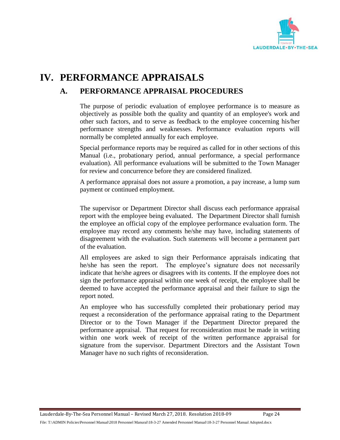

# <span id="page-26-1"></span><span id="page-26-0"></span>**IV. PERFORMANCE APPRAISALS**

### **A. PERFORMANCE APPRAISAL PROCEDURES**

The purpose of periodic evaluation of employee performance is to measure as objectively as possible both the quality and quantity of an employee's work and other such factors, and to serve as feedback to the employee concerning his/her performance strengths and weaknesses. Performance evaluation reports will normally be completed annually for each employee.

Special performance reports may be required as called for in other sections of this Manual (i.e., probationary period, annual performance, a special performance evaluation). All performance evaluations will be submitted to the Town Manager for review and concurrence before they are considered finalized.

A performance appraisal does not assure a promotion, a pay increase, a lump sum payment or continued employment.

The supervisor or Department Director shall discuss each performance appraisal report with the employee being evaluated. The Department Director shall furnish the employee an official copy of the employee performance evaluation form. The employee may record any comments he/she may have, including statements of disagreement with the evaluation. Such statements will become a permanent part of the evaluation.

All employees are asked to sign their Performance appraisals indicating that he/she has seen the report. The employee's signature does not necessarily indicate that he/she agrees or disagrees with its contents. If the employee does not sign the performance appraisal within one week of receipt, the employee shall be deemed to have accepted the performance appraisal and their failure to sign the report noted.

An employee who has successfully completed their probationary period may request a reconsideration of the performance appraisal rating to the Department Director or to the Town Manager if the Department Director prepared the performance appraisal. That request for reconsideration must be made in writing within one work week of receipt of the written performance appraisal for signature from the supervisor. Department Directors and the Assistant Town Manager have no such rights of reconsideration.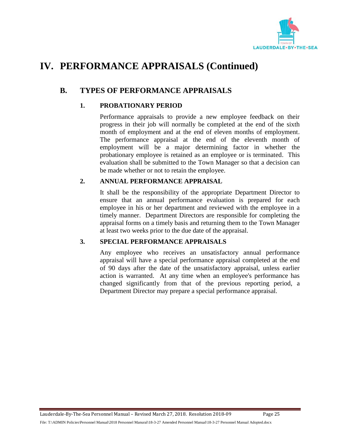

# **IV. PERFORMANCE APPRAISALS (Continued)**

### <span id="page-27-0"></span>**B. TYPES OF PERFORMANCE APPRAISALS**

#### **1. PROBATIONARY PERIOD**

Performance appraisals to provide a new employee feedback on their progress in their job will normally be completed at the end of the sixth month of employment and at the end of eleven months of employment. The performance appraisal at the end of the eleventh month of employment will be a major determining factor in whether the probationary employee is retained as an employee or is terminated. This evaluation shall be submitted to the Town Manager so that a decision can be made whether or not to retain the employee.

#### **2. ANNUAL PERFORMANCE APPRAISAL**

It shall be the responsibility of the appropriate Department Director to ensure that an annual performance evaluation is prepared for each employee in his or her department and reviewed with the employee in a timely manner. Department Directors are responsible for completing the appraisal forms on a timely basis and returning them to the Town Manager at least two weeks prior to the due date of the appraisal.

#### **3. SPECIAL PERFORMANCE APPRAISALS**

Any employee who receives an unsatisfactory annual performance appraisal will have a special performance appraisal completed at the end of 90 days after the date of the unsatisfactory appraisal, unless earlier action is warranted. At any time when an employee's performance has changed significantly from that of the previous reporting period, a Department Director may prepare a special performance appraisal.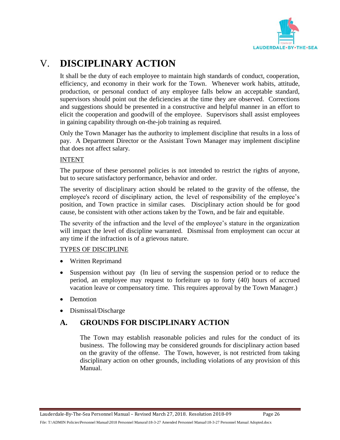

# <span id="page-28-0"></span>V. **DISCIPLINARY ACTION**

It shall be the duty of each employee to maintain high standards of conduct, cooperation, efficiency, and economy in their work for the Town. Whenever work habits, attitude, production, or personal conduct of any employee falls below an acceptable standard, supervisors should point out the deficiencies at the time they are observed. Corrections and suggestions should be presented in a constructive and helpful manner in an effort to elicit the cooperation and goodwill of the employee. Supervisors shall assist employees in gaining capability through on-the-job training as required.

Only the Town Manager has the authority to implement discipline that results in a loss of pay. A Department Director or the Assistant Town Manager may implement discipline that does not affect salary.

#### INTENT

The purpose of these personnel policies is not intended to restrict the rights of anyone, but to secure satisfactory performance, behavior and order.

The severity of disciplinary action should be related to the gravity of the offense, the employee's record of disciplinary action, the level of responsibility of the employee's position, and Town practice in similar cases. Disciplinary action should be for good cause, be consistent with other actions taken by the Town, and be fair and equitable.

The severity of the infraction and the level of the employee's stature in the organization will impact the level of discipline warranted. Dismissal from employment can occur at any time if the infraction is of a grievous nature.

#### TYPES OF DISCIPLINE

- Written Reprimand
- Suspension without pay (In lieu of serving the suspension period or to reduce the period, an employee may request to forfeiture up to forty (40) hours of accrued vacation leave or compensatory time. This requires approval by the Town Manager.)
- Demotion
- Dismissal/Discharge

### <span id="page-28-1"></span>**A. GROUNDS FOR DISCIPLINARY ACTION**

The Town may establish reasonable policies and rules for the conduct of its business. The following may be considered grounds for disciplinary action based on the gravity of the offense. The Town, however, is not restricted from taking disciplinary action on other grounds, including violations of any provision of this Manual.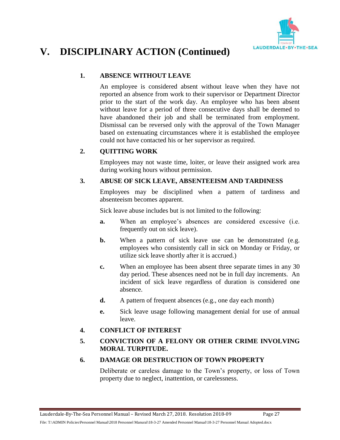

#### **1. ABSENCE WITHOUT LEAVE**

An employee is considered absent without leave when they have not reported an absence from work to their supervisor or Department Director prior to the start of the work day. An employee who has been absent without leave for a period of three consecutive days shall be deemed to have abandoned their job and shall be terminated from employment. Dismissal can be reversed only with the approval of the Town Manager based on extenuating circumstances where it is established the employee could not have contacted his or her supervisor as required.

#### **2. QUITTING WORK**

Employees may not waste time, loiter, or leave their assigned work area during working hours without permission.

#### **3. ABUSE OF SICK LEAVE, ABSENTEEISM AND TARDINESS**

Employees may be disciplined when a pattern of tardiness and absenteeism becomes apparent.

Sick leave abuse includes but is not limited to the following:

- **a.** When an employee's absences are considered excessive (i.e. frequently out on sick leave).
- **b.** When a pattern of sick leave use can be demonstrated (e.g. employees who consistently call in sick on Monday or Friday, or utilize sick leave shortly after it is accrued.)
- **c.** When an employee has been absent three separate times in any 30 day period. These absences need not be in full day increments. An incident of sick leave regardless of duration is considered one absence.
- **d.** A pattern of frequent absences (e.g., one day each month)
- **e.** Sick leave usage following management denial for use of annual leave.

#### **4. CONFLICT OF INTEREST**

#### **5. CONVICTION OF A FELONY OR OTHER CRIME INVOLVING MORAL TURPITUDE.**

#### **6. DAMAGE OR DESTRUCTION OF TOWN PROPERTY**

Deliberate or careless damage to the Town's property, or loss of Town property due to neglect, inattention, or carelessness.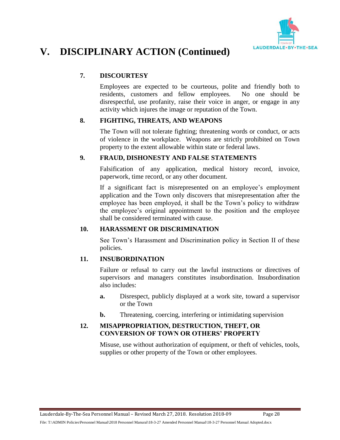

#### **7. DISCOURTESY**

Employees are expected to be courteous, polite and friendly both to residents, customers and fellow employees. No one should be disrespectful, use profanity, raise their voice in anger, or engage in any activity which injures the image or reputation of the Town.

#### **8. FIGHTING, THREATS, AND WEAPONS**

The Town will not tolerate fighting; threatening words or conduct, or acts of violence in the workplace. Weapons are strictly prohibited on Town property to the extent allowable within state or federal laws.

#### **9. FRAUD, DISHONESTY AND FALSE STATEMENTS**

Falsification of any application, medical history record, invoice, paperwork, time record, or any other document.

If a significant fact is misrepresented on an employee's employment application and the Town only discovers that misrepresentation after the employee has been employed, it shall be the Town's policy to withdraw the employee's original appointment to the position and the employee shall be considered terminated with cause.

#### **10. HARASSMENT OR DISCRIMINATION**

See Town's Harassment and Discrimination policy in Section II of these policies.

#### **11. INSUBORDINATION**

Failure or refusal to carry out the lawful instructions or directives of supervisors and managers constitutes insubordination. Insubordination also includes:

- **a.** Disrespect, publicly displayed at a work site, toward a supervisor or the Town
- **b.** Threatening, coercing, interfering or intimidating supervision

#### **12. MISAPPROPRIATION, DESTRUCTION, THEFT, OR CONVERSION OF TOWN OR OTHERS' PROPERTY**

Misuse, use without authorization of equipment, or theft of vehicles, tools, supplies or other property of the Town or other employees.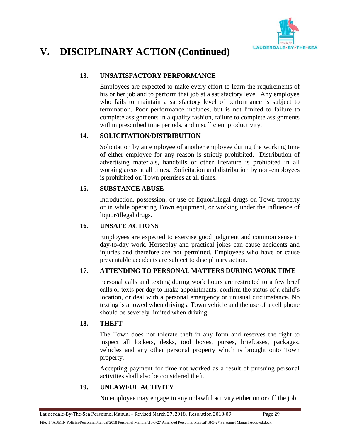

#### **13. UNSATISFACTORY PERFORMANCE**

Employees are expected to make every effort to learn the requirements of his or her job and to perform that job at a satisfactory level. Any employee who fails to maintain a satisfactory level of performance is subject to termination. Poor performance includes, but is not limited to failure to complete assignments in a quality fashion, failure to complete assignments within prescribed time periods, and insufficient productivity.

#### **14. SOLICITATION/DISTRIBUTION**

Solicitation by an employee of another employee during the working time of either employee for any reason is strictly prohibited. Distribution of advertising materials, handbills or other literature is prohibited in all working areas at all times. Solicitation and distribution by non-employees is prohibited on Town premises at all times.

#### **15. SUBSTANCE ABUSE**

Introduction, possession, or use of liquor/illegal drugs on Town property or in while operating Town equipment, or working under the influence of liquor/illegal drugs.

#### **16. UNSAFE ACTIONS**

Employees are expected to exercise good judgment and common sense in day-to-day work. Horseplay and practical jokes can cause accidents and injuries and therefore are not permitted. Employees who have or cause preventable accidents are subject to disciplinary action.

#### **17. ATTENDING TO PERSONAL MATTERS DURING WORK TIME**

Personal calls and texting during work hours are restricted to a few brief calls or texts per day to make appointments, confirm the status of a child's location, or deal with a personal emergency or unusual circumstance. No texting is allowed when driving a Town vehicle and the use of a cell phone should be severely limited when driving.

#### **18. THEFT**

The Town does not tolerate theft in any form and reserves the right to inspect all lockers, desks, tool boxes, purses, briefcases, packages, vehicles and any other personal property which is brought onto Town property.

Accepting payment for time not worked as a result of pursuing personal activities shall also be considered theft.

#### **19. UNLAWFUL ACTIVITY**

No employee may engage in any unlawful activity either on or off the job.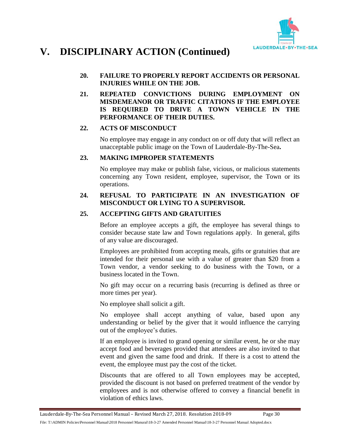

#### **20. FAILURE TO PROPERLY REPORT ACCIDENTS OR PERSONAL INJURIES WHILE ON THE JOB.**

**21. REPEATED CONVICTIONS DURING EMPLOYMENT ON MISDEMEANOR OR TRAFFIC CITATIONS IF THE EMPLOYEE IS REQUIRED TO DRIVE A TOWN VEHICLE IN THE PERFORMANCE OF THEIR DUTIES.**

#### **22. ACTS OF MISCONDUCT**

No employee may engage in any conduct on or off duty that will reflect an unacceptable public image on the Town of Lauderdale-By-The-Sea**.**

#### **23. MAKING IMPROPER STATEMENTS**

No employee may make or publish false, vicious, or malicious statements concerning any Town resident, employee, supervisor, the Town or its operations.

#### **24. REFUSAL TO PARTICIPATE IN AN INVESTIGATION OF MISCONDUCT OR LYING TO A SUPERVISOR.**

#### **25. ACCEPTING GIFTS AND GRATUITIES**

Before an employee accepts a gift, the employee has several things to consider because state law and Town regulations apply. In general, gifts of any value are discouraged.

Employees are prohibited from accepting meals, gifts or gratuities that are intended for their personal use with a value of greater than \$20 from a Town vendor, a vendor seeking to do business with the Town, or a business located in the Town.

No gift may occur on a recurring basis (recurring is defined as three or more times per year).

No employee shall solicit a gift.

No employee shall accept anything of value, based upon any understanding or belief by the giver that it would influence the carrying out of the employee's duties.

If an employee is invited to grand opening or similar event, he or she may accept food and beverages provided that attendees are also invited to that event and given the same food and drink. If there is a cost to attend the event, the employee must pay the cost of the ticket.

Discounts that are offered to all Town employees may be accepted, provided the discount is not based on preferred treatment of the vendor by employees and is not otherwise offered to convey a financial benefit in violation of ethics laws.

File: T:\ADMIN Policies\Personnel Manual\2018 Personnel Manural\18-3-27 Amended Personnel Manual\18-3-27 Personnel Manual Adopted.docx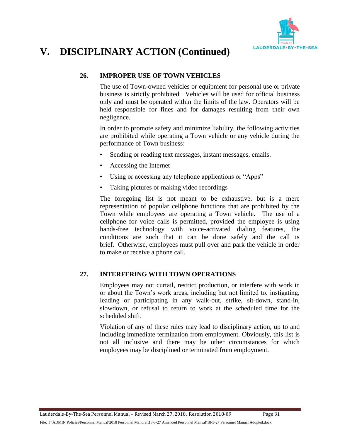

#### **26. IMPROPER USE OF TOWN VEHICLES**

The use of Town-owned vehicles or equipment for personal use or private business is strictly prohibited. Vehicles will be used for official business only and must be operated within the limits of the law. Operators will be held responsible for fines and for damages resulting from their own negligence.

In order to promote safety and minimize liability, the following activities are prohibited while operating a Town vehicle or any vehicle during the performance of Town business:

- Sending or reading text messages, instant messages, emails.
- Accessing the Internet
- Using or accessing any telephone applications or "Apps"
- Taking pictures or making video recordings

The foregoing list is not meant to be exhaustive, but is a mere representation of popular cellphone functions that are prohibited by the Town while employees are operating a Town vehicle. The use of a cellphone for voice calls is permitted, provided the employee is using hands-free technology with voice-activated dialing features, the conditions are such that it can be done safely and the call is brief. Otherwise, employees must pull over and park the vehicle in order to make or receive a phone call.

#### **27. INTERFERING WITH TOWN OPERATIONS**

Employees may not curtail, restrict production, or interfere with work in or about the Town's work areas, including but not limited to, instigating, leading or participating in any walk-out, strike, sit-down, stand-in, slowdown, or refusal to return to work at the scheduled time for the scheduled shift.

Violation of any of these rules may lead to disciplinary action, up to and including immediate termination from employment. Obviously, this list is not all inclusive and there may be other circumstances for which employees may be disciplined or terminated from employment.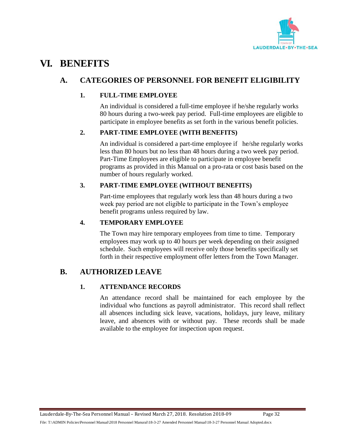

# <span id="page-34-1"></span><span id="page-34-0"></span>**VI. BENEFITS**

### **A. CATEGORIES OF PERSONNEL FOR BENEFIT ELIGIBILITY**

#### **1. FULL-TIME EMPLOYEE**

An individual is considered a full-time employee if he/she regularly works 80 hours during a two-week pay period. Full-time employees are eligible to participate in employee benefits as set forth in the various benefit policies.

### **2. PART-TIME EMPLOYEE (WITH BENEFITS)**

An individual is considered a part-time employee if he/she regularly works less than 80 hours but no less than 48 hours during a two week pay period. Part-Time Employees are eligible to participate in employee benefit programs as provided in this Manual on a pro-rata or cost basis based on the number of hours regularly worked.

#### **3. PART-TIME EMPLOYEE (WITHOUT BENEFITS)**

Part-time employees that regularly work less than 48 hours during a two week pay period are not eligible to participate in the Town's employee benefit programs unless required by law.

#### **4. TEMPORARY EMPLOYEE**

The Town may hire temporary employees from time to time. Temporary employees may work up to 40 hours per week depending on their assigned schedule. Such employees will receive only those benefits specifically set forth in their respective employment offer letters from the Town Manager.

### <span id="page-34-2"></span>**B. AUTHORIZED LEAVE**

### **1. ATTENDANCE RECORDS**

An attendance record shall be maintained for each employee by the individual who functions as payroll administrator. This record shall reflect all absences including sick leave, vacations, holidays, jury leave, military leave, and absences with or without pay. These records shall be made available to the employee for inspection upon request.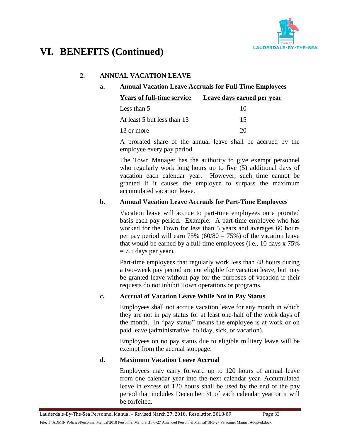

# **VI. BENEFITS (Continued)**

#### **2. ANNUAL VACATION LEAVE**

#### **a. Annual Vacation Leave Accruals for Full-Time Employees**

| <b>Years of full-time service</b> | Leave days earned per year |
|-----------------------------------|----------------------------|
| Less than 5                       | 10                         |
| At least 5 but less than 13       | 15                         |
| 13 or more                        |                            |

A prorated share of the annual leave shall be accrued by the employee every pay period.

The Town Manager has the authority to give exempt personnel who regularly work long hours up to five (5) additional days of vacation each calendar year. However, such time cannot be granted if it causes the employee to surpass the maximum accumulated vacation leave.

#### **b. Annual Vacation Leave Accruals for Part-Time Employees**

Vacation leave will accrue to part-time employees on a prorated basis each pay period. Example: A part-time employee who has worked for the Town for less than 5 years and averages 60 hours per pay period will earn 75% ( $60/80 = 75$ %) of the vacation leave that would be earned by a full-time employees (i.e., 10 days x 75%  $= 7.5$  days per year).

Part-time employees that regularly work less than 48 hours during a two-week pay period are not eligible for vacation leave, but may be granted leave without pay for the purposes of vacation if their requests do not inhibit Town operations or programs.

#### **c. Accrual of Vacation Leave While Not in Pay Status**

Employees shall not accrue vacation leave for any month in which they are not in pay status for at least one-half of the work days of the month. In "pay status" means the employee is at work or on paid leave (administrative, holiday, sick, or vacation).

Employees on no pay status due to eligible military leave will be exempt from the accrual stoppage.

#### **d. Maximum Vacation Leave Accrual**

Employees may carry forward up to 120 hours of annual leave from one calendar year into the next calendar year. Accumulated leave in excess of 120 hours shall be used by the end of the pay period that includes December 31 of each calendar year or it will be forfeited.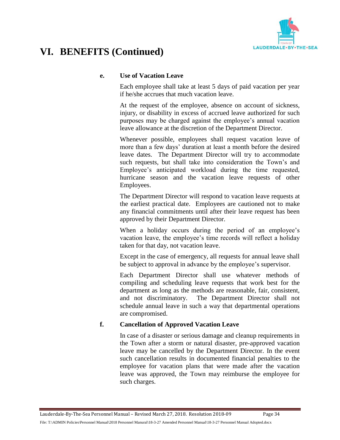

### **e. Use of Vacation Leave**

Each employee shall take at least 5 days of paid vacation per year if he/she accrues that much vacation leave.

At the request of the employee, absence on account of sickness, injury, or disability in excess of accrued leave authorized for such purposes may be charged against the employee's annual vacation leave allowance at the discretion of the Department Director.

Whenever possible, employees shall request vacation leave of more than a few days' duration at least a month before the desired leave dates. The Department Director will try to accommodate such requests, but shall take into consideration the Town's and Employee's anticipated workload during the time requested, hurricane season and the vacation leave requests of other Employees.

The Department Director will respond to vacation leave requests at the earliest practical date. Employees are cautioned not to make any financial commitments until after their leave request has been approved by their Department Director.

When a holiday occurs during the period of an employee's vacation leave, the employee's time records will reflect a holiday taken for that day, not vacation leave.

Except in the case of emergency, all requests for annual leave shall be subject to approval in advance by the employee's supervisor.

Each Department Director shall use whatever methods of compiling and scheduling leave requests that work best for the department as long as the methods are reasonable, fair, consistent, and not discriminatory. The Department Director shall not schedule annual leave in such a way that departmental operations are compromised.

### **f. Cancellation of Approved Vacation Leave**

In case of a disaster or serious damage and cleanup requirements in the Town after a storm or natural disaster, pre-approved vacation leave may be cancelled by the Department Director. In the event such cancellation results in documented financial penalties to the employee for vacation plans that were made after the vacation leave was approved, the Town may reimburse the employee for such charges.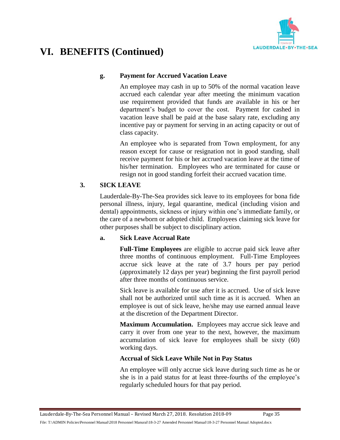

### **g. Payment for Accrued Vacation Leave**

An employee may cash in up to 50% of the normal vacation leave accrued each calendar year after meeting the minimum vacation use requirement provided that funds are available in his or her department's budget to cover the cost. Payment for cashed in vacation leave shall be paid at the base salary rate, excluding any incentive pay or payment for serving in an acting capacity or out of class capacity.

An employee who is separated from Town employment, for any reason except for cause or resignation not in good standing, shall receive payment for his or her accrued vacation leave at the time of his/her termination. Employees who are terminated for cause or resign not in good standing forfeit their accrued vacation time.

### **3. SICK LEAVE**

Lauderdale-By-The-Sea provides sick leave to its employees for bona fide personal illness, injury, legal quarantine, medical (including vision and dental) appointments, sickness or injury within one's immediate family, or the care of a newborn or adopted child. Employees claiming sick leave for other purposes shall be subject to disciplinary action.

### **a. Sick Leave Accrual Rate**

**Full-Time Employees** are eligible to accrue paid sick leave after three months of continuous employment. Full-Time Employees accrue sick leave at the rate of 3.7 hours per pay period (approximately 12 days per year) beginning the first payroll period after three months of continuous service.

Sick leave is available for use after it is accrued. Use of sick leave shall not be authorized until such time as it is accrued. When an employee is out of sick leave, he/she may use earned annual leave at the discretion of the Department Director.

**Maximum Accumulation.** Employees may accrue sick leave and carry it over from one year to the next, however, the maximum accumulation of sick leave for employees shall be sixty (60) working days.

### **Accrual of Sick Leave While Not in Pay Status**

An employee will only accrue sick leave during such time as he or she is in a paid status for at least three-fourths of the employee's regularly scheduled hours for that pay period.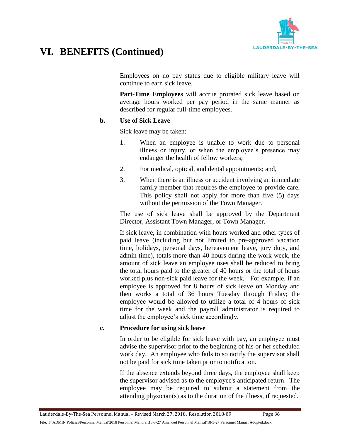

Employees on no pay status due to eligible military leave will continue to earn sick leave.

**Part-Time Employees** will accrue prorated sick leave based on average hours worked per pay period in the same manner as described for regular full-time employees.

#### **b. Use of Sick Leave**

Sick leave may be taken:

- 1. When an employee is unable to work due to personal illness or injury, or when the employee's presence may endanger the health of fellow workers;
- 2. For medical, optical, and dental appointments; and,
- 3. When there is an illness or accident involving an immediate family member that requires the employee to provide care. This policy shall not apply for more than five (5) days without the permission of the Town Manager.

The use of sick leave shall be approved by the Department Director, Assistant Town Manager, or Town Manager.

If sick leave, in combination with hours worked and other types of paid leave (including but not limited to pre-approved vacation time, holidays, personal days, bereavement leave, jury duty, and admin time), totals more than 40 hours during the work week, the amount of sick leave an employee uses shall be reduced to bring the total hours paid to the greater of 40 hours or the total of hours worked plus non-sick paid leave for the week. For example, if an employee is approved for 8 hours of sick leave on Monday and then works a total of 36 hours Tuesday through Friday; the employee would be allowed to utilize a total of 4 hours of sick time for the week and the payroll administrator is required to adjust the employee's sick time accordingly.

#### **c. Procedure for using sick leave**

In order to be eligible for sick leave with pay, an employee must advise the supervisor prior to the beginning of his or her scheduled work day. An employee who fails to so notify the supervisor shall not be paid for sick time taken prior to notification.

If the absence extends beyond three days, the employee shall keep the supervisor advised as to the employee's anticipated return. The employee may be required to submit a statement from the attending physician(s) as to the duration of the illness, if requested.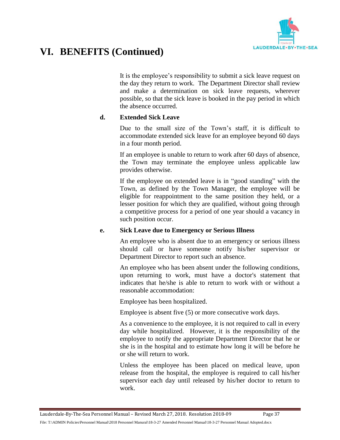

It is the employee's responsibility to submit a sick leave request on the day they return to work. The Department Director shall review and make a determination on sick leave requests, wherever possible, so that the sick leave is booked in the pay period in which the absence occurred.

### **d. Extended Sick Leave**

Due to the small size of the Town's staff, it is difficult to accommodate extended sick leave for an employee beyond 60 days in a four month period.

If an employee is unable to return to work after 60 days of absence, the Town may terminate the employee unless applicable law provides otherwise.

If the employee on extended leave is in "good standing" with the Town, as defined by the Town Manager, the employee will be eligible for reappointment to the same position they held, or a lesser position for which they are qualified, without going through a competitive process for a period of one year should a vacancy in such position occur.

### **e. Sick Leave due to Emergency or Serious Illness**

An employee who is absent due to an emergency or serious illness should call or have someone notify his/her supervisor or Department Director to report such an absence.

An employee who has been absent under the following conditions, upon returning to work, must have a doctor's statement that indicates that he/she is able to return to work with or without a reasonable accommodation:

Employee has been hospitalized.

Employee is absent five (5) or more consecutive work days.

As a convenience to the employee, it is not required to call in every day while hospitalized. However, it is the responsibility of the employee to notify the appropriate Department Director that he or she is in the hospital and to estimate how long it will be before he or she will return to work.

Unless the employee has been placed on medical leave, upon release from the hospital, the employee is required to call his/her supervisor each day until released by his/her doctor to return to work.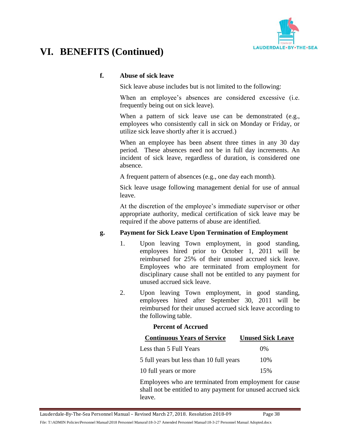

### **f. Abuse of sick leave**

Sick leave abuse includes but is not limited to the following:

When an employee's absences are considered excessive (i.e. frequently being out on sick leave).

When a pattern of sick leave use can be demonstrated (e.g., employees who consistently call in sick on Monday or Friday, or utilize sick leave shortly after it is accrued.)

When an employee has been absent three times in any 30 day period. These absences need not be in full day increments. An incident of sick leave, regardless of duration, is considered one absence.

A frequent pattern of absences (e.g., one day each month).

Sick leave usage following management denial for use of annual leave.

At the discretion of the employee's immediate supervisor or other appropriate authority, medical certification of sick leave may be required if the above patterns of abuse are identified.

### **g. Payment for Sick Leave Upon Termination of Employment**

- 1. Upon leaving Town employment, in good standing, employees hired prior to October 1, 2011 will be reimbursed for 25% of their unused accrued sick leave. Employees who are terminated from employment for disciplinary cause shall not be entitled to any payment for unused accrued sick leave.
- 2. Upon leaving Town employment, in good standing, employees hired after September 30, 2011 will be reimbursed for their unused accrued sick leave according to the following table.

### **Percent of Accrued**

| <b>Continuous Years of Service</b>       | <b>Unused Sick Leave</b> |
|------------------------------------------|--------------------------|
| Less than 5 Full Years                   | $0\%$                    |
| 5 full years but less than 10 full years | 10%                      |
| 10 full years or more                    | 15%                      |

Employees who are terminated from employment for cause shall not be entitled to any payment for unused accrued sick leave.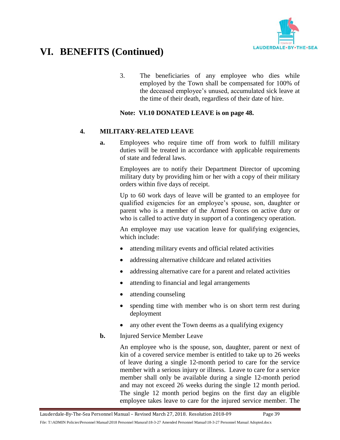

3. The beneficiaries of any employee who dies while employed by the Town shall be compensated for 100% of the deceased employee's unused, accumulated sick leave at the time of their death, regardless of their date of hire.

### **Note: VI.10 DONATED LEAVE is on page 48.**

#### **4. MILITARY-RELATED LEAVE**

**a.** Employees who require time off from work to fulfill military duties will be treated in accordance with applicable requirements of state and federal laws.

> Employees are to notify their Department Director of upcoming military duty by providing him or her with a copy of their military orders within five days of receipt.

> Up to 60 work days of leave will be granted to an employee for qualified exigencies for an employee's spouse, son, daughter or parent who is a member of the Armed Forces on active duty or who is called to active duty in support of a contingency operation.

> An employee may use vacation leave for qualifying exigencies, which include:

- attending military events and official related activities
- addressing alternative childcare and related activities
- addressing alternative care for a parent and related activities
- attending to financial and legal arrangements
- attending counseling
- spending time with member who is on short term rest during deployment
- any other event the Town deems as a qualifying exigency
- **b.** Injured Service Member Leave

An employee who is the spouse, son, daughter, parent or next of kin of a covered service member is entitled to take up to 26 weeks of leave during a single 12-month period to care for the service member with a serious injury or illness. Leave to care for a service member shall only be available during a single 12-month period and may not exceed 26 weeks during the single 12 month period. The single 12 month period begins on the first day an eligible employee takes leave to care for the injured service member. The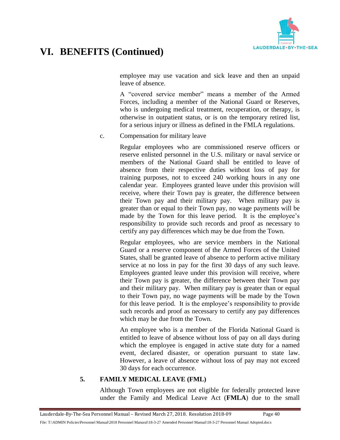

employee may use vacation and sick leave and then an unpaid leave of absence.

A "covered service member" means a member of the Armed Forces, including a member of the National Guard or Reserves, who is undergoing medical treatment, recuperation, or therapy, is otherwise in outpatient status, or is on the temporary retired list, for a serious injury or illness as defined in the FMLA regulations.

c. Compensation for military leave

Regular employees who are commissioned reserve officers or reserve enlisted personnel in the U.S. military or naval service or members of the National Guard shall be entitled to leave of absence from their respective duties without loss of pay for training purposes, not to exceed 240 working hours in any one calendar year. Employees granted leave under this provision will receive, where their Town pay is greater, the difference between their Town pay and their military pay. When military pay is greater than or equal to their Town pay, no wage payments will be made by the Town for this leave period. It is the employee's responsibility to provide such records and proof as necessary to certify any pay differences which may be due from the Town.

Regular employees, who are service members in the National Guard or a reserve component of the Armed Forces of the United States, shall be granted leave of absence to perform active military service at no loss in pay for the first 30 days of any such leave. Employees granted leave under this provision will receive, where their Town pay is greater, the difference between their Town pay and their military pay. When military pay is greater than or equal to their Town pay, no wage payments will be made by the Town for this leave period. It is the employee's responsibility to provide such records and proof as necessary to certify any pay differences which may be due from the Town.

An employee who is a member of the Florida National Guard is entitled to leave of absence without loss of pay on all days during which the employee is engaged in active state duty for a named event, declared disaster, or operation pursuant to state law. However, a leave of absence without loss of pay may not exceed 30 days for each occurrence.

### **5. FAMILY MEDICAL LEAVE (FML)**

Although Town employees are not eligible for federally protected leave under the Family and Medical Leave Act (**FMLA**) due to the small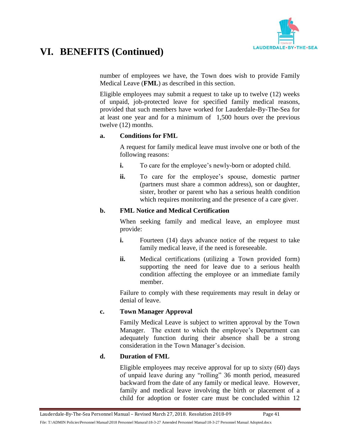

number of employees we have, the Town does wish to provide Family Medical Leave (**FML**) as described in this section.

Eligible employees may submit a request to take up to twelve (12) weeks of unpaid, job-protected leave for specified family medical reasons, provided that such members have worked for Lauderdale-By-The-Sea for at least one year and for a minimum of 1,500 hours over the previous twelve (12) months.

#### **a. Conditions for FML**

A request for family medical leave must involve one or both of the following reasons:

- **i.** To care for the employee's newly-born or adopted child.
- **ii.** To care for the employee's spouse, domestic partner (partners must share a common address), son or daughter, sister, brother or parent who has a serious health condition which requires monitoring and the presence of a care giver.

### **b. FML Notice and Medical Certification**

When seeking family and medical leave, an employee must provide:

- **i.** Fourteen (14) days advance notice of the request to take family medical leave, if the need is foreseeable.
- **ii.** Medical certifications (utilizing a Town provided form) supporting the need for leave due to a serious health condition affecting the employee or an immediate family member.

Failure to comply with these requirements may result in delay or denial of leave.

### **c. Town Manager Approval**

Family Medical Leave is subject to written approval by the Town Manager. The extent to which the employee's Department can adequately function during their absence shall be a strong consideration in the Town Manager's decision.

### **d. Duration of FML**

Eligible employees may receive approval for up to sixty (60) days of unpaid leave during any "rolling" 36 month period, measured backward from the date of any family or medical leave. However, family and medical leave involving the birth or placement of a child for adoption or foster care must be concluded within 12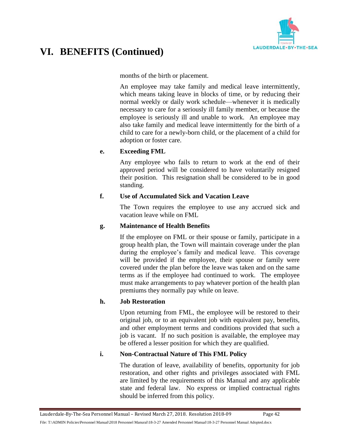

months of the birth or placement.

An employee may take family and medical leave intermittently, which means taking leave in blocks of time, or by reducing their normal weekly or daily work schedule—whenever it is medically necessary to care for a seriously ill family member, or because the employee is seriously ill and unable to work. An employee may also take family and medical leave intermittently for the birth of a child to care for a newly-born child, or the placement of a child for adoption or foster care.

### **e. Exceeding FML**

Any employee who fails to return to work at the end of their approved period will be considered to have voluntarily resigned their position. This resignation shall be considered to be in good standing.

### **f. Use of Accumulated Sick and Vacation Leave**

The Town requires the employee to use any accrued sick and vacation leave while on FML

### **g. Maintenance of Health Benefits**

If the employee on FML or their spouse or family, participate in a group health plan, the Town will maintain coverage under the plan during the employee's family and medical leave. This coverage will be provided if the employee, their spouse or family were covered under the plan before the leave was taken and on the same terms as if the employee had continued to work. The employee must make arrangements to pay whatever portion of the health plan premiums they normally pay while on leave.

### **h. Job Restoration**

Upon returning from FML, the employee will be restored to their original job, or to an equivalent job with equivalent pay, benefits, and other employment terms and conditions provided that such a job is vacant. If no such position is available, the employee may be offered a lesser position for which they are qualified.

### **i. Non-Contractual Nature of This FML Policy**

The duration of leave, availability of benefits, opportunity for job restoration, and other rights and privileges associated with FML are limited by the requirements of this Manual and any applicable state and federal law. No express or implied contractual rights should be inferred from this policy.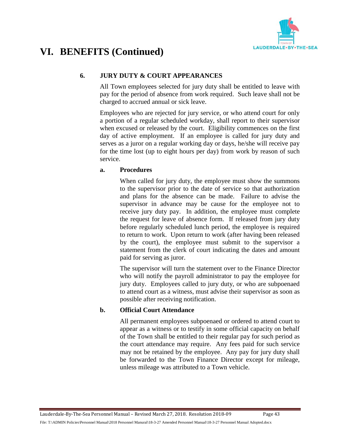

### **6. JURY DUTY & COURT APPEARANCES**

All Town employees selected for jury duty shall be entitled to leave with pay for the period of absence from work required. Such leave shall not be charged to accrued annual or sick leave.

Employees who are rejected for jury service, or who attend court for only a portion of a regular scheduled workday, shall report to their supervisor when excused or released by the court. Eligibility commences on the first day of active employment. If an employee is called for jury duty and serves as a juror on a regular working day or days, he/she will receive pay for the time lost (up to eight hours per day) from work by reason of such service.

### **a. Procedures**

When called for jury duty, the employee must show the summons to the supervisor prior to the date of service so that authorization and plans for the absence can be made. Failure to advise the supervisor in advance may be cause for the employee not to receive jury duty pay. In addition, the employee must complete the request for leave of absence form. If released from jury duty before regularly scheduled lunch period, the employee is required to return to work. Upon return to work (after having been released by the court), the employee must submit to the supervisor a statement from the clerk of court indicating the dates and amount paid for serving as juror.

The supervisor will turn the statement over to the Finance Director who will notify the payroll administrator to pay the employee for jury duty. Employees called to jury duty, or who are subpoenaed to attend court as a witness, must advise their supervisor as soon as possible after receiving notification.

### **b. Official Court Attendance**

All permanent employees subpoenaed or ordered to attend court to appear as a witness or to testify in some official capacity on behalf of the Town shall be entitled to their regular pay for such period as the court attendance may require. Any fees paid for such service may not be retained by the employee. Any pay for jury duty shall be forwarded to the Town Finance Director except for mileage, unless mileage was attributed to a Town vehicle.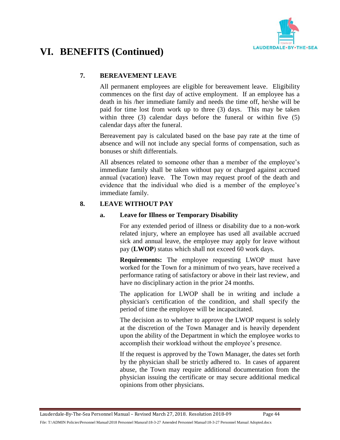

### **7. BEREAVEMENT LEAVE**

All permanent employees are eligible for bereavement leave. Eligibility commences on the first day of active employment. If an employee has a death in his /her immediate family and needs the time off, he/she will be paid for time lost from work up to three (3) days. This may be taken within three (3) calendar days before the funeral or within five (5) calendar days after the funeral.

Bereavement pay is calculated based on the base pay rate at the time of absence and will not include any special forms of compensation, such as bonuses or shift differentials.

All absences related to someone other than a member of the employee's immediate family shall be taken without pay or charged against accrued annual (vacation) leave. The Town may request proof of the death and evidence that the individual who died is a member of the employee's immediate family.

### **8. LEAVE WITHOUT PAY**

### **a. Leave for Illness or Temporary Disability**

For any extended period of illness or disability due to a non-work related injury, where an employee has used all available accrued sick and annual leave, the employee may apply for leave without pay (**LWOP**) status which shall not exceed 60 work days.

**Requirements:** The employee requesting LWOP must have worked for the Town for a minimum of two years, have received a performance rating of satisfactory or above in their last review, and have no disciplinary action in the prior 24 months.

The application for LWOP shall be in writing and include a physician's certification of the condition, and shall specify the period of time the employee will be incapacitated.

The decision as to whether to approve the LWOP request is solely at the discretion of the Town Manager and is heavily dependent upon the ability of the Department in which the employee works to accomplish their workload without the employee's presence.

If the request is approved by the Town Manager, the dates set forth by the physician shall be strictly adhered to. In cases of apparent abuse, the Town may require additional documentation from the physician issuing the certificate or may secure additional medical opinions from other physicians.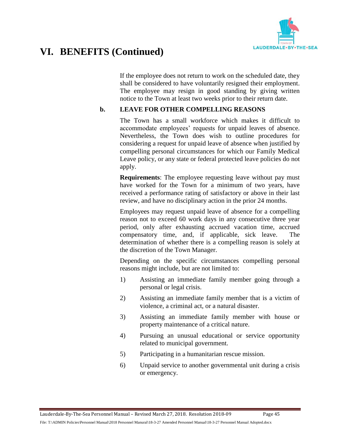

If the employee does not return to work on the scheduled date, they shall be considered to have voluntarily resigned their employment. The employee may resign in good standing by giving written notice to the Town at least two weeks prior to their return date.

### **b. LEAVE FOR OTHER COMPELLING REASONS**

The Town has a small workforce which makes it difficult to accommodate employees' requests for unpaid leaves of absence. Nevertheless, the Town does wish to outline procedures for considering a request for unpaid leave of absence when justified by compelling personal circumstances for which our Family Medical Leave policy, or any state or federal protected leave policies do not apply.

**Requirements:** The employee requesting leave without pay must have worked for the Town for a minimum of two years, have received a performance rating of satisfactory or above in their last review, and have no disciplinary action in the prior 24 months.

Employees may request unpaid leave of absence for a compelling reason not to exceed 60 work days in any consecutive three year period, only after exhausting accrued vacation time, accrued compensatory time, and, if applicable, sick leave. The determination of whether there is a compelling reason is solely at the discretion of the Town Manager.

Depending on the specific circumstances compelling personal reasons might include, but are not limited to:

- 1) Assisting an immediate family member going through a personal or legal crisis.
- 2) Assisting an immediate family member that is a victim of violence, a criminal act, or a natural disaster.
- 3) Assisting an immediate family member with house or property maintenance of a critical nature.
- 4) Pursuing an unusual educational or service opportunity related to municipal government.
- 5) Participating in a humanitarian rescue mission.
- 6) Unpaid service to another governmental unit during a crisis or emergency.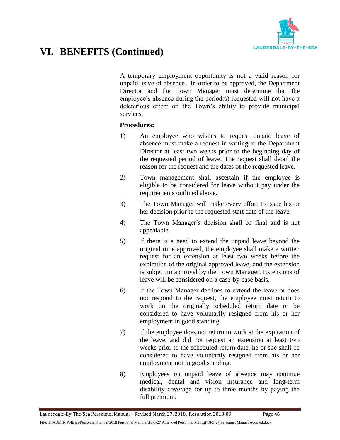

A temporary employment opportunity is not a valid reason for unpaid leave of absence. In order to be approved, the Department Director and the Town Manager must determine that the employee's absence during the period(s) requested will not have a deleterious effect on the Town's ability to provide municipal services.

#### **Procedures:**

- 1) An employee who wishes to request unpaid leave of absence must make a request in writing to the Department Director at least two weeks prior to the beginning day of the requested period of leave. The request shall detail the reason for the request and the dates of the requested leave.
- 2) Town management shall ascertain if the employee is eligible to be considered for leave without pay under the requirements outlined above.
- 3) The Town Manager will make every effort to issue his or her decision prior to the requested start date of the leave.
- 4) The Town Manager's decision shall be final and is not appealable.
- 5) If there is a need to extend the unpaid leave beyond the original time approved, the employee shall make a written request for an extension at least two weeks before the expiration of the original approved leave, and the extension is subject to approval by the Town Manager. Extensions of leave will be considered on a case-by-case basis.
- 6) If the Town Manager declines to extend the leave or does not respond to the request, the employee must return to work on the originally scheduled return date or be considered to have voluntarily resigned from his or her employment in good standing.
- 7) If the employee does not return to work at the expiration of the leave, and did not request an extension at least two weeks prior to the scheduled return date, he or she shall be considered to have voluntarily resigned from his or her employment not in good standing.
- 8) Employees on unpaid leave of absence may continue medical, dental and vision insurance and long-term disability coverage for up to three months by paying the full premium.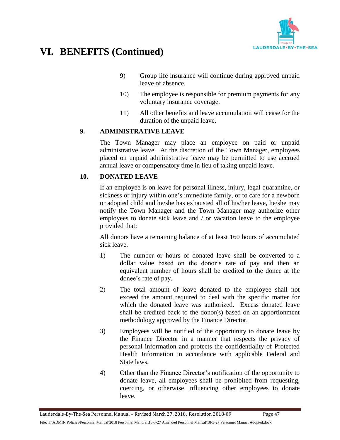

- 9) Group life insurance will continue during approved unpaid leave of absence.
- 10) The employee is responsible for premium payments for any voluntary insurance coverage.
- 11) All other benefits and leave accumulation will cease for the duration of the unpaid leave.

### **9. ADMINISTRATIVE LEAVE**

The Town Manager may place an employee on paid or unpaid administrative leave. At the discretion of the Town Manager, employees placed on unpaid administrative leave may be permitted to use accrued annual leave or compensatory time in lieu of taking unpaid leave.

### **10. DONATED LEAVE**

If an employee is on leave for personal illness, injury, legal quarantine, or sickness or injury within one's immediate family, or to care for a newborn or adopted child and he/she has exhausted all of his/her leave, he/she may notify the Town Manager and the Town Manager may authorize other employees to donate sick leave and / or vacation leave to the employee provided that:

All donors have a remaining balance of at least 160 hours of accumulated sick leave.

- 1) The number or hours of donated leave shall be converted to a dollar value based on the donor's rate of pay and then an equivalent number of hours shall be credited to the donee at the donee's rate of pay.
- 2) The total amount of leave donated to the employee shall not exceed the amount required to deal with the specific matter for which the donated leave was authorized. Excess donated leave shall be credited back to the donor(s) based on an apportionment methodology approved by the Finance Director.
- 3) Employees will be notified of the opportunity to donate leave by the Finance Director in a manner that respects the privacy of personal information and protects the confidentiality of Protected Health Information in accordance with applicable Federal and State laws.
- 4) Other than the Finance Director's notification of the opportunity to donate leave, all employees shall be prohibited from requesting, coercing, or otherwise influencing other employees to donate leave.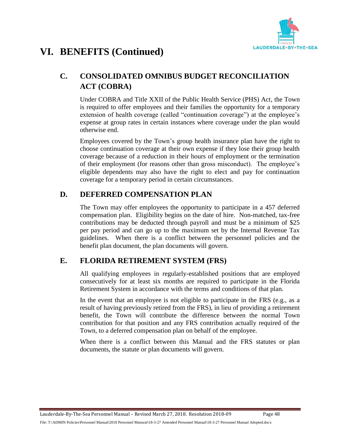

## **C. CONSOLIDATED OMNIBUS BUDGET RECONCILIATION ACT (COBRA)**

Under COBRA and Title XXII of the Public Health Service (PHS) Act, the Town is required to offer employees and their families the opportunity for a temporary extension of health coverage (called "continuation coverage") at the employee's expense at group rates in certain instances where coverage under the plan would otherwise end.

Employees covered by the Town's group health insurance plan have the right to choose continuation coverage at their own expense if they lose their group health coverage because of a reduction in their hours of employment or the termination of their employment (for reasons other than gross misconduct). The employee's eligible dependents may also have the right to elect and pay for continuation coverage for a temporary period in certain circumstances.

### **D. DEFERRED COMPENSATION PLAN**

The Town may offer employees the opportunity to participate in a 457 deferred compensation plan. Eligibility begins on the date of hire. Non-matched, tax-free contributions may be deducted through payroll and must be a minimum of \$25 per pay period and can go up to the maximum set by the Internal Revenue Tax guidelines. When there is a conflict between the personnel policies and the benefit plan document, the plan documents will govern.

## **E. FLORIDA RETIREMENT SYSTEM (FRS)**

All qualifying employees in regularly-established positions that are employed consecutively for at least six months are required to participate in the Florida Retirement System in accordance with the terms and conditions of that plan.

In the event that an employee is not eligible to participate in the FRS (e.g., as a result of having previously retired from the FRS), in lieu of providing a retirement benefit, the Town will contribute the difference between the normal Town contribution for that position and any FRS contribution actually required of the Town, to a deferred compensation plan on behalf of the employee.

When there is a conflict between this Manual and the FRS statutes or plan documents, the statute or plan documents will govern.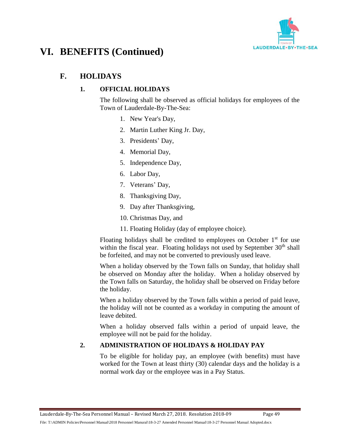

## **F. HOLIDAYS**

### **1. OFFICIAL HOLIDAYS**

The following shall be observed as official holidays for employees of the Town of Lauderdale-By-The-Sea:

- 1. New Year's Day,
- 2. Martin Luther King Jr. Day,
- 3. Presidents' Day,
- 4. Memorial Day,
- 5. Independence Day,
- 6. Labor Day,
- 7. Veterans' Day,
- 8. Thanksgiving Day,
- 9. Day after Thanksgiving,
- 10. Christmas Day, and
- 11. Floating Holiday (day of employee choice).

Floating holidays shall be credited to employees on October  $1<sup>st</sup>$  for use within the fiscal year. Floating holidays not used by September  $30<sup>th</sup>$  shall be forfeited, and may not be converted to previously used leave.

When a holiday observed by the Town falls on Sunday, that holiday shall be observed on Monday after the holiday. When a holiday observed by the Town falls on Saturday, the holiday shall be observed on Friday before the holiday.

When a holiday observed by the Town falls within a period of paid leave, the holiday will not be counted as a workday in computing the amount of leave debited.

When a holiday observed falls within a period of unpaid leave, the employee will not be paid for the holiday.

### **2. ADMINISTRATION OF HOLIDAYS & HOLIDAY PAY**

To be eligible for holiday pay, an employee (with benefits) must have worked for the Town at least thirty (30) calendar days and the holiday is a normal work day or the employee was in a Pay Status.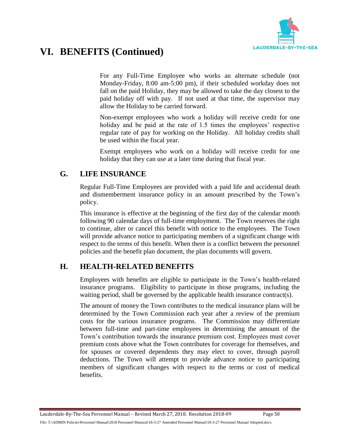

For any Full-Time Employee who works an alternate schedule (not Monday-Friday, 8:00 am-5:00 pm), if their scheduled workday does not fall on the paid Holiday, they may be allowed to take the day closest to the paid holiday off with pay. If not used at that time, the supervisor may allow the Holiday to be carried forward.

Non-exempt employees who work a holiday will receive credit for one holiday and be paid at the rate of 1.5 times the employees' respective regular rate of pay for working on the Holiday. All holiday credits shall be used within the fiscal year.

Exempt employees who work on a holiday will receive credit for one holiday that they can use at a later time during that fiscal year.

### **G. LIFE INSURANCE**

Regular Full-Time Employees are provided with a paid life and accidental death and dismemberment insurance policy in an amount prescribed by the Town's policy.

This insurance is effective at the beginning of the first day of the calendar month following 90 calendar days of full-time employment. The Town reserves the right to continue, alter or cancel this benefit with notice to the employees. The Town will provide advance notice to participating members of a significant change with respect to the terms of this benefit. When there is a conflict between the personnel policies and the benefit plan document, the plan documents will govern.

## **H. HEALTH-RELATED BENEFITS**

Employees with benefits are eligible to participate in the Town's health-related insurance programs. Eligibility to participate in those programs, including the waiting period, shall be governed by the applicable health insurance contract(s).

The amount of money the Town contributes to the medical insurance plans will be determined by the Town Commission each year after a review of the premium costs for the various insurance programs. The Commission may differentiate between full-time and part-time employees in determining the amount of the Town's contribution towards the insurance premium cost. Employees must cover premium costs above what the Town contributes for coverage for themselves, and for spouses or covered dependents they may elect to cover, through payroll deductions. The Town will attempt to provide advance notice to participating members of significant changes with respect to the terms or cost of medical benefits.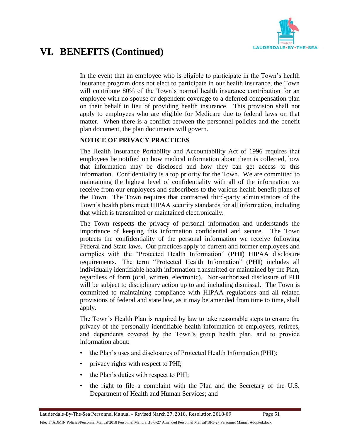

In the event that an employee who is eligible to participate in the Town's health insurance program does not elect to participate in our health insurance, the Town will contribute 80% of the Town's normal health insurance contribution for an employee with no spouse or dependent coverage to a deferred compensation plan on their behalf in lieu of providing health insurance. This provision shall not apply to employees who are eligible for Medicare due to federal laws on that matter. When there is a conflict between the personnel policies and the benefit plan document, the plan documents will govern.

### **NOTICE OF PRIVACY PRACTICES**

The Health Insurance Portability and Accountability Act of 1996 requires that employees be notified on how medical information about them is collected, how that information may be disclosed and how they can get access to this information. Confidentiality is a top priority for the Town. We are committed to maintaining the highest level of confidentiality with all of the information we receive from our employees and subscribers to the various health benefit plans of the Town. The Town requires that contracted third-party administrators of the Town's health plans meet HIPAA security standards for all information, including that which is transmitted or maintained electronically.

The Town respects the privacy of personal information and understands the importance of keeping this information confidential and secure. The Town protects the confidentiality of the personal information we receive following Federal and State laws. Our practices apply to current and former employees and complies with the "Protected Health Information" (**PHI**) HIPAA disclosure requirements. The term "Protected Health Information" (**PHI**) includes all individually identifiable health information transmitted or maintained by the Plan, regardless of form (oral, written, electronic). Non-authorized disclosure of PHI will be subject to disciplinary action up to and including dismissal. The Town is committed to maintaining compliance with HIPAA regulations and all related provisions of federal and state law, as it may be amended from time to time, shall apply.

The Town's Health Plan is required by law to take reasonable steps to ensure the privacy of the personally identifiable health information of employees, retirees, and dependents covered by the Town's group health plan, and to provide information about:

- the Plan's uses and disclosures of Protected Health Information (PHI);
- privacy rights with respect to PHI;
- the Plan's duties with respect to PHI;
- the right to file a complaint with the Plan and the Secretary of the U.S. Department of Health and Human Services; and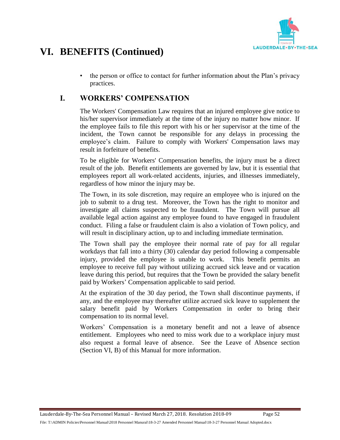

• the person or office to contact for further information about the Plan's privacy practices.

## **I. WORKERS' COMPENSATION**

The Workers' Compensation Law requires that an injured employee give notice to his/her supervisor immediately at the time of the injury no matter how minor. If the employee fails to file this report with his or her supervisor at the time of the incident, the Town cannot be responsible for any delays in processing the employee's claim. Failure to comply with Workers' Compensation laws may result in forfeiture of benefits.

To be eligible for Workers' Compensation benefits, the injury must be a direct result of the job. Benefit entitlements are governed by law, but it is essential that employees report all work-related accidents, injuries, and illnesses immediately, regardless of how minor the injury may be.

The Town, in its sole discretion, may require an employee who is injured on the job to submit to a drug test. Moreover, the Town has the right to monitor and investigate all claims suspected to be fraudulent. The Town will pursue all available legal action against any employee found to have engaged in fraudulent conduct. Filing a false or fraudulent claim is also a violation of Town policy, and will result in disciplinary action, up to and including immediate termination.

The Town shall pay the employee their normal rate of pay for all regular workdays that fall into a thirty (30) calendar day period following a compensable injury, provided the employee is unable to work. This benefit permits an employee to receive full pay without utilizing accrued sick leave and or vacation leave during this period, but requires that the Town be provided the salary benefit paid by Workers' Compensation applicable to said period.

At the expiration of the 30 day period, the Town shall discontinue payments, if any, and the employee may thereafter utilize accrued sick leave to supplement the salary benefit paid by Workers Compensation in order to bring their compensation to its normal level.

Workers' Compensation is a monetary benefit and not a leave of absence entitlement. Employees who need to miss work due to a workplace injury must also request a formal leave of absence. See the Leave of Absence section (Section VI, B) of this Manual for more information.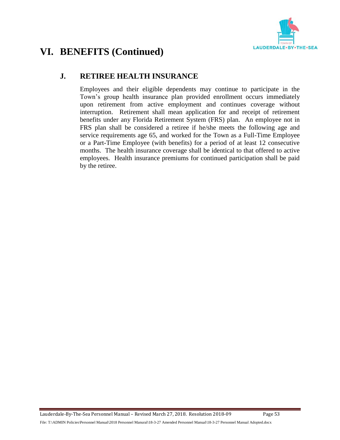

### **J. RETIREE HEALTH INSURANCE**

Employees and their eligible dependents may continue to participate in the Town's group health insurance plan provided enrollment occurs immediately upon retirement from active employment and continues coverage without interruption. Retirement shall mean application for and receipt of retirement benefits under any Florida Retirement System (FRS) plan. An employee not in FRS plan shall be considered a retiree if he/she meets the following age and service requirements age 65, and worked for the Town as a Full-Time Employee or a Part-Time Employee (with benefits) for a period of at least 12 consecutive months. The health insurance coverage shall be identical to that offered to active employees. Health insurance premiums for continued participation shall be paid by the retiree.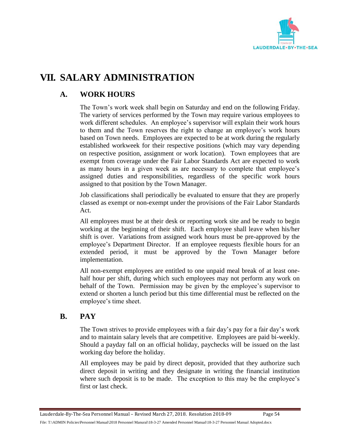

# **VII. SALARY ADMINISTRATION**

## **A. WORK HOURS**

The Town's work week shall begin on Saturday and end on the following Friday. The variety of services performed by the Town may require various employees to work different schedules. An employee's supervisor will explain their work hours to them and the Town reserves the right to change an employee's work hours based on Town needs. Employees are expected to be at work during the regularly established workweek for their respective positions (which may vary depending on respective position, assignment or work location). Town employees that are exempt from coverage under the Fair Labor Standards Act are expected to work as many hours in a given week as are necessary to complete that employee's assigned duties and responsibilities, regardless of the specific work hours assigned to that position by the Town Manager.

Job classifications shall periodically be evaluated to ensure that they are properly classed as exempt or non-exempt under the provisions of the Fair Labor Standards Act.

All employees must be at their desk or reporting work site and be ready to begin working at the beginning of their shift. Each employee shall leave when his/her shift is over. Variations from assigned work hours must be pre-approved by the employee's Department Director. If an employee requests flexible hours for an extended period, it must be approved by the Town Manager before implementation.

All non-exempt employees are entitled to one unpaid meal break of at least onehalf hour per shift, during which such employees may not perform any work on behalf of the Town. Permission may be given by the employee's supervisor to extend or shorten a lunch period but this time differential must be reflected on the employee's time sheet.

### **B. PAY**

The Town strives to provide employees with a fair day's pay for a fair day's work and to maintain salary levels that are competitive. Employees are paid bi-weekly. Should a payday fall on an official holiday, paychecks will be issued on the last working day before the holiday.

All employees may be paid by direct deposit, provided that they authorize such direct deposit in writing and they designate in writing the financial institution where such deposit is to be made. The exception to this may be the employee's first or last check.

Lauderdale-By-The-Sea Personnel Manual – Revised March 27, 2018. Resolution 2018-09 Page 54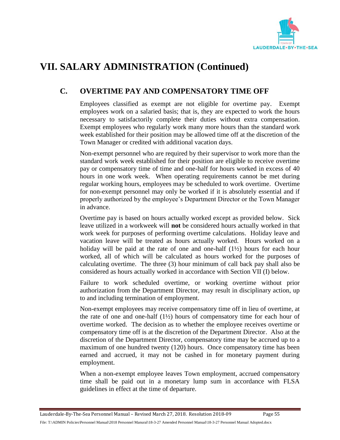

## **C. OVERTIME PAY AND COMPENSATORY TIME OFF**

Employees classified as exempt are not eligible for overtime pay. Exempt employees work on a salaried basis; that is, they are expected to work the hours necessary to satisfactorily complete their duties without extra compensation. Exempt employees who regularly work many more hours than the standard work week established for their position may be allowed time off at the discretion of the Town Manager or credited with additional vacation days.

Non-exempt personnel who are required by their supervisor to work more than the standard work week established for their position are eligible to receive overtime pay or compensatory time of time and one-half for hours worked in excess of 40 hours in one work week. When operating requirements cannot be met during regular working hours, employees may be scheduled to work overtime. Overtime for non-exempt personnel may only be worked if it is absolutely essential and if properly authorized by the employee's Department Director or the Town Manager in advance.

Overtime pay is based on hours actually worked except as provided below. Sick leave utilized in a workweek will **not** be considered hours actually worked in that work week for purposes of performing overtime calculations. Holiday leave and vacation leave will be treated as hours actually worked. Hours worked on a holiday will be paid at the rate of one and one-half (1½) hours for each hour worked, all of which will be calculated as hours worked for the purposes of calculating overtime. The three (3) hour minimum of call back pay shall also be considered as hours actually worked in accordance with Section VII (I) below.

Failure to work scheduled overtime, or working overtime without prior authorization from the Department Director, may result in disciplinary action, up to and including termination of employment.

Non-exempt employees may receive compensatory time off in lieu of overtime, at the rate of one and one-half  $(1\frac{1}{2})$  hours of compensatory time for each hour of overtime worked. The decision as to whether the employee receives overtime or compensatory time off is at the discretion of the Department Director. Also at the discretion of the Department Director, compensatory time may be accrued up to a maximum of one hundred twenty (120) hours. Once compensatory time has been earned and accrued, it may not be cashed in for monetary payment during employment.

When a non-exempt employee leaves Town employment, accrued compensatory time shall be paid out in a monetary lump sum in accordance with FLSA guidelines in effect at the time of departure.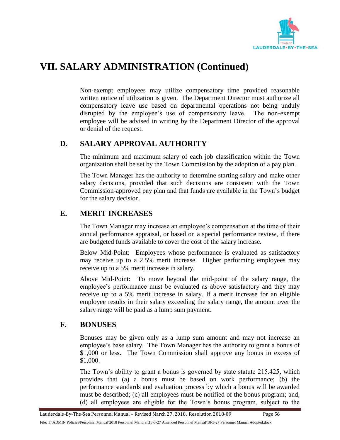

Non-exempt employees may utilize compensatory time provided reasonable written notice of utilization is given. The Department Director must authorize all compensatory leave use based on departmental operations not being unduly disrupted by the employee's use of compensatory leave. The non-exempt employee will be advised in writing by the Department Director of the approval or denial of the request.

### **D. SALARY APPROVAL AUTHORITY**

The minimum and maximum salary of each job classification within the Town organization shall be set by the Town Commission by the adoption of a pay plan.

The Town Manager has the authority to determine starting salary and make other salary decisions, provided that such decisions are consistent with the Town Commission-approved pay plan and that funds are available in the Town's budget for the salary decision.

## **E. MERIT INCREASES**

The Town Manager may increase an employee's compensation at the time of their annual performance appraisal, or based on a special performance review, if there are budgeted funds available to cover the cost of the salary increase.

Below Mid-Point: Employees whose performance is evaluated as satisfactory may receive up to a 2.5% merit increase. Higher performing employees may receive up to a 5% merit increase in salary.

Above Mid-Point: To move beyond the mid-point of the salary range, the employee's performance must be evaluated as above satisfactory and they may receive up to a 5% merit increase in salary. If a merit increase for an eligible employee results in their salary exceeding the salary range, the amount over the salary range will be paid as a lump sum payment.

## **F. BONUSES**

Bonuses may be given only as a lump sum amount and may not increase an employee's base salary. The Town Manager has the authority to grant a bonus of \$1,000 or less. The Town Commission shall approve any bonus in excess of \$1,000.

The Town's ability to grant a bonus is governed by state statute 215.425, which provides that (a) a bonus must be based on work performance; (b) the performance standards and evaluation process by which a bonus will be awarded must be described; (c) all employees must be notified of the bonus program; and, (d) all employees are eligible for the Town's bonus program, subject to the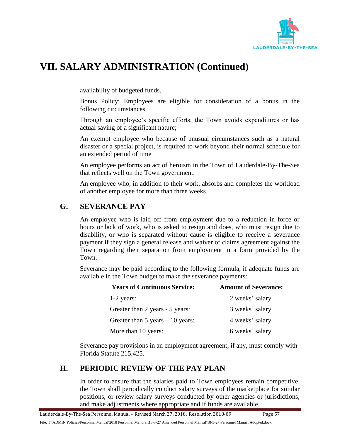

availability of budgeted funds.

Bonus Policy: Employees are eligible for consideration of a bonus in the following circumstances.

Through an employee's specific efforts, the Town avoids expenditures or has actual saving of a significant nature;

An exempt employee who because of unusual circumstances such as a natural disaster or a special project, is required to work beyond their normal schedule for an extended period of time

An employee performs an act of heroism in the Town of Lauderdale-By-The-Sea that reflects well on the Town government.

An employee who, in addition to their work, absorbs and completes the workload of another employee for more than three weeks.

### **G. SEVERANCE PAY**

An employee who is laid off from employment due to a reduction in force or hours or lack of work, who is asked to resign and does, who must resign due to disability, or who is separated without cause is eligible to receive a severance payment if they sign a general release and waiver of claims agreement against the Town regarding their separation from employment in a form provided by the Town.

Severance may be paid according to the following formula, if adequate funds are available in the Town budget to make the severance payments:

| <b>Years of Continuous Service:</b> | <b>Amount of Severance:</b> |
|-------------------------------------|-----------------------------|
| $1-2$ years:                        | 2 weeks' salary             |
| Greater than 2 years - 5 years:     | 3 weeks' salary             |
| Greater than $5$ years $-10$ years: | 4 weeks' salary             |
| More than 10 years:                 | 6 weeks' salary             |

Severance pay provisions in an employment agreement, if any, must comply with Florida Statute 215.425.

### **H. PERIODIC REVIEW OF THE PAY PLAN**

In order to ensure that the salaries paid to Town employees remain competitive, the Town shall periodically conduct salary surveys of the marketplace for similar positions, or review salary surveys conducted by other agencies or jurisdictions, and make adjustments where appropriate and if funds are available.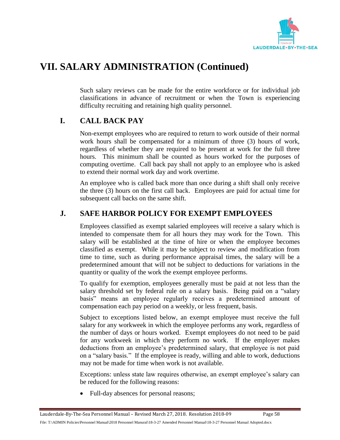

Such salary reviews can be made for the entire workforce or for individual job classifications in advance of recruitment or when the Town is experiencing difficulty recruiting and retaining high quality personnel.

## **I. CALL BACK PAY**

Non-exempt employees who are required to return to work outside of their normal work hours shall be compensated for a minimum of three (3) hours of work, regardless of whether they are required to be present at work for the full three hours. This minimum shall be counted as hours worked for the purposes of computing overtime. Call back pay shall not apply to an employee who is asked to extend their normal work day and work overtime.

An employee who is called back more than once during a shift shall only receive the three (3) hours on the first call back. Employees are paid for actual time for subsequent call backs on the same shift.

## **J. SAFE HARBOR POLICY FOR EXEMPT EMPLOYEES**

Employees classified as exempt salaried employees will receive a salary which is intended to compensate them for all hours they may work for the Town. This salary will be established at the time of hire or when the employee becomes classified as exempt. While it may be subject to review and modification from time to time, such as during performance appraisal times, the salary will be a predetermined amount that will not be subject to deductions for variations in the quantity or quality of the work the exempt employee performs.

To qualify for exemption, employees generally must be paid at not less than the salary threshold set by federal rule on a salary basis. Being paid on a "salary basis" means an employee regularly receives a predetermined amount of compensation each pay period on a weekly, or less frequent, basis.

Subject to exceptions listed below, an exempt employee must receive the full salary for any workweek in which the employee performs any work, regardless of the number of days or hours worked. Exempt employees do not need to be paid for any workweek in which they perform no work. If the employer makes deductions from an employee's predetermined salary, that employee is not paid on a "salary basis." If the employee is ready, willing and able to work, deductions may not be made for time when work is not available.

Exceptions: unless state law requires otherwise, an exempt employee's salary can be reduced for the following reasons:

• Full-day absences for personal reasons;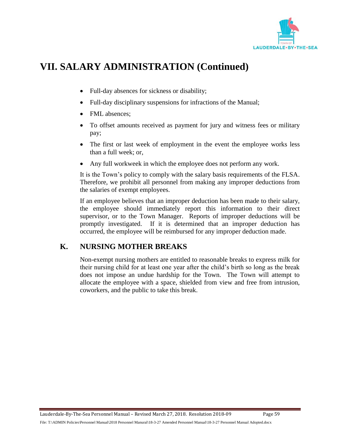

- Full-day absences for sickness or disability;
- Full-day disciplinary suspensions for infractions of the Manual;
- FML absences:
- To offset amounts received as payment for jury and witness fees or military pay;
- The first or last week of employment in the event the employee works less than a full week; or,
- Any full workweek in which the employee does not perform any work.

It is the Town's policy to comply with the salary basis requirements of the FLSA. Therefore, we prohibit all personnel from making any improper deductions from the salaries of exempt employees.

If an employee believes that an improper deduction has been made to their salary, the employee should immediately report this information to their direct supervisor, or to the Town Manager. Reports of improper deductions will be promptly investigated. If it is determined that an improper deduction has occurred, the employee will be reimbursed for any improper deduction made.

## **K. NURSING MOTHER BREAKS**

Non-exempt nursing mothers are entitled to reasonable breaks to express milk for their nursing child for at least one year after the child's birth so long as the break does not impose an undue hardship for the Town. The Town will attempt to allocate the employee with a space, shielded from view and free from intrusion, coworkers, and the public to take this break.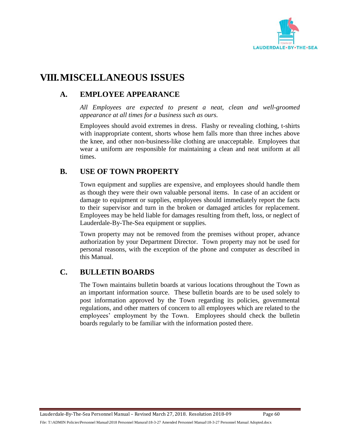

## **VIII.MISCELLANEOUS ISSUES**

## **A. EMPLOYEE APPEARANCE**

*All Employees are expected to present a neat, clean and well-groomed appearance at all times for a business such as ours.*

Employees should avoid extremes in dress. Flashy or revealing clothing, t-shirts with inappropriate content, shorts whose hem falls more than three inches above the knee, and other non-business-like clothing are unacceptable. Employees that wear a uniform are responsible for maintaining a clean and neat uniform at all times.

### **B. USE OF TOWN PROPERTY**

Town equipment and supplies are expensive, and employees should handle them as though they were their own valuable personal items. In case of an accident or damage to equipment or supplies, employees should immediately report the facts to their supervisor and turn in the broken or damaged articles for replacement. Employees may be held liable for damages resulting from theft, loss, or neglect of Lauderdale-By-The-Sea equipment or supplies.

Town property may not be removed from the premises without proper, advance authorization by your Department Director. Town property may not be used for personal reasons, with the exception of the phone and computer as described in this Manual.

### **C. BULLETIN BOARDS**

The Town maintains bulletin boards at various locations throughout the Town as an important information source. These bulletin boards are to be used solely to post information approved by the Town regarding its policies, governmental regulations, and other matters of concern to all employees which are related to the employees' employment by the Town. Employees should check the bulletin boards regularly to be familiar with the information posted there.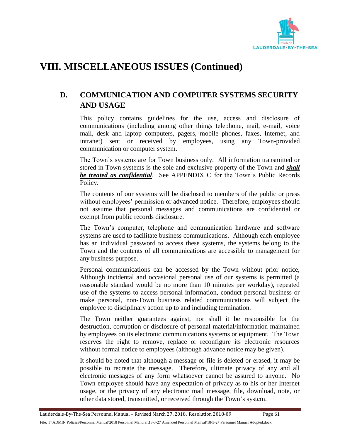

## **D. COMMUNICATION AND COMPUTER SYSTEMS SECURITY AND USAGE**

This policy contains guidelines for the use, access and disclosure of communications (including among other things telephone, mail, e-mail, voice mail, desk and laptop computers, pagers, mobile phones, faxes, Internet, and intranet) sent or received by employees, using any Town-provided communication or computer system.

The Town's systems are for Town business only. All information transmitted or stored in Town systems is the sole and exclusive property of the Town and *shall be treated as confidential*. See APPENDIX C for the Town's Public Records Policy.

The contents of our systems will be disclosed to members of the public or press without employees' permission or advanced notice. Therefore, employees should not assume that personal messages and communications are confidential or exempt from public records disclosure.

The Town's computer, telephone and communication hardware and software systems are used to facilitate business communications. Although each employee has an individual password to access these systems, the systems belong to the Town and the contents of all communications are accessible to management for any business purpose.

Personal communications can be accessed by the Town without prior notice, Although incidental and occasional personal use of our systems is permitted (a reasonable standard would be no more than 10 minutes per workday), repeated use of the systems to access personal information, conduct personal business or make personal, non-Town business related communications will subject the employee to disciplinary action up to and including termination.

The Town neither guarantees against, nor shall it be responsible for the destruction, corruption or disclosure of personal material/information maintained by employees on its electronic communications systems or equipment. The Town reserves the right to remove, replace or reconfigure its electronic resources without formal notice to employees (although advance notice may be given).

It should be noted that although a message or file is deleted or erased, it may be possible to recreate the message. Therefore, ultimate privacy of any and all electronic messages of any form whatsoever cannot be assured to anyone. No Town employee should have any expectation of privacy as to his or her Internet usage, or the privacy of any electronic mail message, file, download, note, or other data stored, transmitted, or received through the Town's system.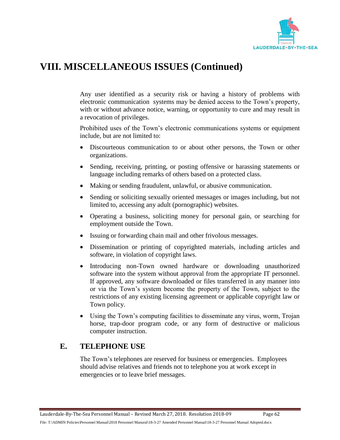

Any user identified as a security risk or having a history of problems with electronic communication systems may be denied access to the Town's property, with or without advance notice, warning, or opportunity to cure and may result in a revocation of privileges.

Prohibited uses of the Town's electronic communications systems or equipment include, but are not limited to:

- Discourteous communication to or about other persons, the Town or other organizations.
- Sending, receiving, printing, or posting offensive or harassing statements or language including remarks of others based on a protected class.
- Making or sending fraudulent, unlawful, or abusive communication.
- Sending or soliciting sexually oriented messages or images including, but not limited to, accessing any adult (pornographic) websites.
- Operating a business, soliciting money for personal gain, or searching for employment outside the Town.
- Issuing or forwarding chain mail and other frivolous messages.
- Dissemination or printing of copyrighted materials, including articles and software, in violation of copyright laws.
- Introducing non-Town owned hardware or downloading unauthorized software into the system without approval from the appropriate IT personnel. If approved, any software downloaded or files transferred in any manner into or via the Town's system become the property of the Town, subject to the restrictions of any existing licensing agreement or applicable copyright law or Town policy.
- Using the Town's computing facilities to disseminate any virus, worm, Trojan horse, trap-door program code, or any form of destructive or malicious computer instruction.

## **E. TELEPHONE USE**

The Town's telephones are reserved for business or emergencies. Employees should advise relatives and friends not to telephone you at work except in emergencies or to leave brief messages.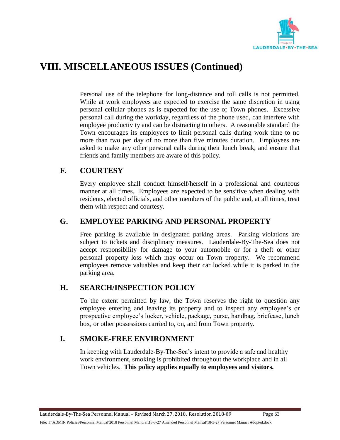

Personal use of the telephone for long-distance and toll calls is not permitted. While at work employees are expected to exercise the same discretion in using personal cellular phones as is expected for the use of Town phones. Excessive personal call during the workday, regardless of the phone used, can interfere with employee productivity and can be distracting to others. A reasonable standard the Town encourages its employees to limit personal calls during work time to no more than two per day of no more than five minutes duration. Employees are asked to make any other personal calls during their lunch break, and ensure that friends and family members are aware of this policy.

## **F. COURTESY**

Every employee shall conduct himself/herself in a professional and courteous manner at all times. Employees are expected to be sensitive when dealing with residents, elected officials, and other members of the public and, at all times, treat them with respect and courtesy.

### **G. EMPLOYEE PARKING AND PERSONAL PROPERTY**

Free parking is available in designated parking areas. Parking violations are subject to tickets and disciplinary measures. Lauderdale-By-The-Sea does not accept responsibility for damage to your automobile or for a theft or other personal property loss which may occur on Town property. We recommend employees remove valuables and keep their car locked while it is parked in the parking area.

### **H. SEARCH/INSPECTION POLICY**

To the extent permitted by law, the Town reserves the right to question any employee entering and leaving its property and to inspect any employee's or prospective employee's locker, vehicle, package, purse, handbag, briefcase, lunch box, or other possessions carried to, on, and from Town property.

## **I. SMOKE-FREE ENVIRONMENT**

In keeping with Lauderdale-By-The-Sea's intent to provide a safe and healthy work environment, smoking is prohibited throughout the workplace and in all Town vehicles. **This policy applies equally to employees and visitors.**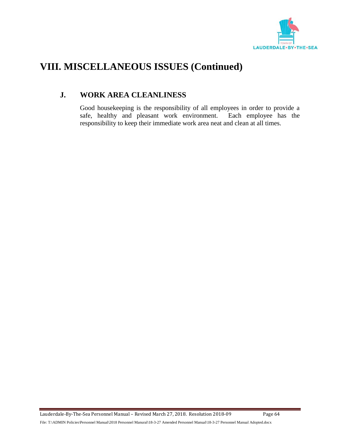

## **J. WORK AREA CLEANLINESS**

Good housekeeping is the responsibility of all employees in order to provide a safe, healthy and pleasant work environment. Each employee has the responsibility to keep their immediate work area neat and clean at all times.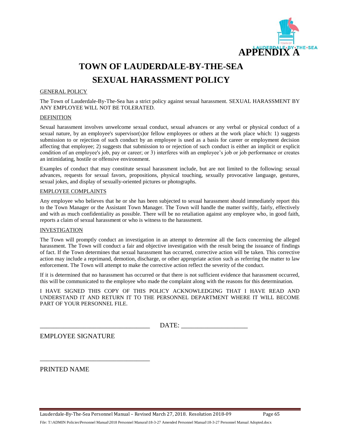

# **TOWN OF LAUDERDALE-BY-THE-SEA SEXUAL HARASSMENT POLICY**

#### GENERAL POLICY

The Town of Lauderdale-By-The-Sea has a strict policy against sexual harassment. SEXUAL HARASSMENT BY ANY EMPLOYEE WILL NOT BE TOLERATED.

#### DEFINITION

Sexual harassment involves unwelcome sexual conduct, sexual advances or any verbal or physical conduct of a sexual nature, by an employee's supervisor(s)or fellow employees or others at the work place which: 1) suggests submission to or rejection of such conduct by an employee is used as a basis for career or employment decision affecting that employee; 2) suggests that submission to or rejection of such conduct is either an implicit or explicit condition of an employee's job, pay or career; or 3) interferes with an employee's job or job performance or creates an intimidating, hostile or offensive environment.

Examples of conduct that may constitute sexual harassment include, but are not limited to the following: sexual advances, requests for sexual favors, propositions, physical touching, sexually provocative language, gestures, sexual jokes, and display of sexually-oriented pictures or photographs.

#### EMPLOYEE COMPLAINTS

Any employee who believes that he or she has been subjected to sexual harassment should immediately report this to the Town Manager or the Assistant Town Manager. The Town will handle the matter swiftly, fairly, effectively and with as much confidentiality as possible. There will be no retaliation against any employee who, in good faith, reports a claim of sexual harassment or who is witness to the harassment.

#### INVESTIGATION

The Town will promptly conduct an investigation in an attempt to determine all the facts concerning the alleged harassment. The Town will conduct a fair and objective investigation with the result being the issuance of findings of fact. If the Town determines that sexual harassment has occurred, corrective action will be taken. This corrective action may include a reprimand, demotion, discharge, or other appropriate action such as referring the matter to law enforcement. The Town will attempt to make the corrective action reflect the severity of the conduct.

If it is determined that no harassment has occurred or that there is not sufficient evidence that harassment occurred, this will be communicated to the employee who made the complaint along with the reasons for this determination.

I HAVE SIGNED THIS COPY OF THIS POLICY ACKNOWLEDGING THAT I HAVE READ AND UNDERSTAND IT AND RETURN IT TO THE PERSONNEL DEPARTMENT WHERE IT WILL BECOME PART OF YOUR PERSONNEL FILE.

\_\_\_\_\_\_\_\_\_\_\_\_\_\_\_\_\_\_\_\_\_\_\_\_\_\_\_\_\_\_\_\_\_ DATE: \_\_\_\_\_\_\_\_\_\_\_\_\_\_\_\_\_\_\_\_

EMPLOYEE SIGNATURE

\_\_\_\_\_\_\_\_\_\_\_\_\_\_\_\_\_\_\_\_\_\_\_\_\_\_\_\_\_\_\_\_\_

PRINTED NAME

Lauderdale-By-The-Sea Personnel Manual – Revised March 27, 2018. Resolution 2018-09 Page 65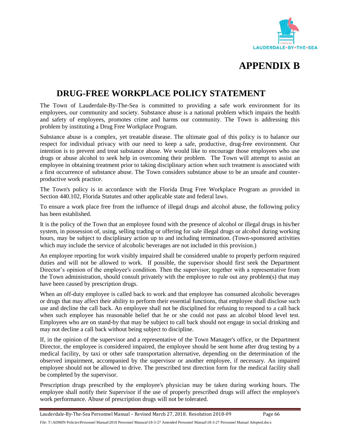



## **DRUG-FREE WORKPLACE POLICY STATEMENT**

The Town of Lauderdale-By-The-Sea is committed to providing a safe work environment for its employees, our community and society. Substance abuse is a national problem which impairs the health and safety of employees, promotes crime and harms our community. The Town is addressing this problem by instituting a Drug Free Workplace Program.

Substance abuse is a complex, yet treatable disease. The ultimate goal of this policy is to balance our respect for individual privacy with our need to keep a safe, productive, drug-free environment. Our intention is to prevent and treat substance abuse. We would like to encourage those employees who use drugs or abuse alcohol to seek help in overcoming their problem. The Town will attempt to assist an employee in obtaining treatment prior to taking disciplinary action when such treatment is associated with a first occurrence of substance abuse. The Town considers substance abuse to be an unsafe and counterproductive work practice.

The Town's policy is in accordance with the Florida Drug Free Workplace Program as provided in Section 440.102, Florida Statutes and other applicable state and federal laws.

To ensure a work place free from the influence of illegal drugs and alcohol abuse, the following policy has been established.

It is the policy of the Town that an employee found with the presence of alcohol or illegal drugs in his/her system, in possession of, using, selling trading or offering for sale illegal drugs or alcohol during working hours, may be subject to disciplinary action up to and including termination. (Town-sponsored activities which may include the service of alcoholic beverages are not included in this provision.)

An employee reporting for work visibly impaired shall be considered unable to properly perform required duties and will not be allowed to work. If possible, the supervisor should first seek the Department Director's opinion of the employee's condition. Then the supervisor, together with a representative from the Town administration, should consult privately with the employee to rule out any problem(s) that may have been caused by prescription drugs.

When an off-duty employee is called back to work and that employee has consumed alcoholic beverages or drugs that may affect their ability to perform their essential functions, that employee shall disclose such use and decline the call back. An employee shall not be disciplined for refusing to respond to a call back when such employee has reasonable belief that he or she could not pass an alcohol blood level test. Employees who are on stand-by that may be subject to call back should not engage in social drinking and may not decline a call back without being subject to discipline.

If, in the opinion of the supervisor and a representative of the Town Manager's office, or the Department Director, the employee is considered impaired, the employee should be sent home after drug testing by a medical facility, by taxi or other safe transportation alternative, depending on the determination of the observed impairment, accompanied by the supervisor or another employee, if necessary. An impaired employee should not be allowed to drive. The prescribed test direction form for the medical facility shall be completed by the supervisor.

Prescription drugs prescribed by the employee's physician may be taken during working hours. The employee shall notify their Supervisor if the use of properly prescribed drugs will affect the employee's work performance. Abuse of prescription drugs will not be tolerated.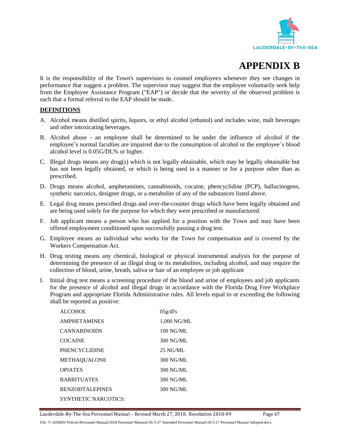

## **APPENDIX B**

It is the responsibility of the Town's supervisors to counsel employees whenever they see changes in performance that suggest a problem. The supervisor may suggest that the employee voluntarily seek help from the Employee Assistance Program ("EAP") or decide that the severity of the observed problem is such that a formal referral to the EAP should be made.

#### **DEFINITIONS**

- A. Alcohol means distilled spirits, liquors, or ethyl alcohol (ethanol) and includes wine, malt beverages and other intoxicating beverages.
- B. Alcohol abuse an employee shall be determined to be under the influence of alcohol if the employee's normal faculties are impaired due to the consumption of alcohol or the employee's blood alcohol level is 0.05G/DL% or higher.
- C. Illegal drugs means any drug(s) which is not legally obtainable, which may be legally obtainable but has not been legally obtained, or which is being used in a manner or for a purpose other than as prescribed.
- D. Drugs means alcohol, amphetamines, cannabinoids, cocaine, phencyclidine (PCP), hallucinogens, synthetic narcotics, designer drugs, or a metabolite of any of the substances listed above.
- E. Legal drug means prescribed drugs and over-the-counter drugs which have been legally obtained and are being used solely for the purpose for which they were prescribed or manufactured.
- F. Job applicant means a person who has applied for a position with the Town and may have been offered employment conditioned upon successfully passing a drug test.
- G. Employee means an individual who works for the Town for compensation and is covered by the Workers Compensation Act.
- H. Drug testing means any chemical, biological or physical instrumental analysis for the purpose of determining the presence of an illegal drug or its metabolites, including alcohol, and may require the collection of blood, urine, breath, saliva or hair of an employee or job applicant
- I. Initial drug test means a screening procedure of the blood and urine of employees and job applicants for the presence of alcohol and illegal drugs in accordance with the Florida Drug Free Workplace Program and appropriate Florida Administrative rules. All levels equal to or exceeding the following shall be reported as positive:

| <b>ALCOHOL</b>              | 05g/dl's    |
|-----------------------------|-------------|
| <b>AMPHETAMINES</b>         | 1,000 NG/ML |
| <b>CANNABINOIDS</b>         | $100$ NG/ML |
| <b>COCAINE</b>              | 300 NG/ML   |
| <b>PHENCYCLIDINE</b>        | $25$ NG/ML  |
| <b>METHAOUALONE</b>         | 300 NG/ML   |
| <b>OPIATES</b>              | 300 NG/ML   |
| <b>BARBITUATES</b>          | 300 NG/ML   |
| <b>BENZODTALEPINES</b>      | 300 NG/ML   |
| <b>SYNTHETIC NARCOTICS:</b> |             |

Lauderdale-By-The-Sea Personnel Manual – Revised March 27, 2018. Resolution 2018-09 Page 67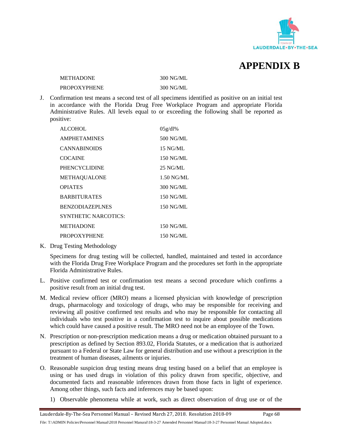

**APPENDIX B**

METHADONE 300 NG/ML

PROPOXYPHENE 300 NG/ML

J. Confirmation test means a second test of all specimens identified as positive on an initial test in accordance with the Florida Drug Free Workplace Program and appropriate Florida Administrative Rules. All levels equal to or exceeding the following shall be reported as positive:

| <b>ALCOHOL</b>              | 05g/dl%    |
|-----------------------------|------------|
| <b>AMPHETAMINES</b>         | 500 NG/ML  |
| <b>CANNABINOIDS</b>         | 15 NG/ML   |
| <b>COCAINE</b>              | 150 NG/ML  |
| <b>PHENCYCLIDINE</b>        | $25$ NG/ML |
| METHAQUALONE                | 1.50 NG/ML |
| <b>OPIATES</b>              | 300 NG/ML  |
| <b>BARBITURATES</b>         | 150 NG/ML  |
| <b>BENZODIAZEPLNES</b>      | 150 NG/ML  |
| <b>SYNTHETIC NARCOTICS:</b> |            |
| <b>METHADONE</b>            | 150 NG/ML  |
| <b>PROPOXYPHENE</b>         | 150 NG/ML  |

K. Drug Testing Methodology

Specimens for drug testing will be collected, handled, maintained and tested in accordance with the Florida Drug Free Workplace Program and the procedures set forth in the appropriate Florida Administrative Rules.

- L. Positive confirmed test or confirmation test means a second procedure which confirms a positive result from an initial drug test.
- M. Medical review officer (MRO) means a licensed physician with knowledge of prescription drugs, pharmacology and toxicology of drugs, who may be responsible for receiving and reviewing all positive confirmed test results and who may be responsible for contacting all individuals who test positive in a confirmation test to inquire about possible medications which could have caused a positive result. The MRO need not be an employee of the Town.
- N. Prescription or non-prescription medication means a drug or medication obtained pursuant to a prescription as defined by Section 893.02, Florida Statutes, or a medication that is authorized pursuant to a Federal or State Law for general distribution and use without a prescription in the treatment of human diseases, ailments or injuries.
- O. Reasonable suspicion drug testing means drug testing based on a belief that an employee is using or has used drugs in violation of this policy drawn from specific, objective, and documented facts and reasonable inferences drawn from those facts in light of experience. Among other things, such facts and inferences may be based upon:
	- 1) Observable phenomena while at work, such as direct observation of drug use or of the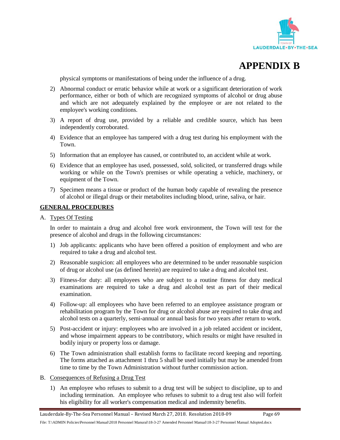



physical symptoms or manifestations of being under the influence of a drug.

- 2) Abnormal conduct or erratic behavior while at work or a significant deterioration of work performance, either or both of which are recognized symptoms of alcohol or drug abuse and which are not adequately explained by the employee or are not related to the employee's working conditions.
- 3) A report of drug use, provided by a reliable and credible source, which has been independently corroborated.
- 4) Evidence that an employee has tampered with a drug test during his employment with the Town.
- 5) Information that an employee has caused, or contributed to, an accident while at work.
- 6) Evidence that an employee has used, possessed, sold, solicited, or transferred drugs while working or while on the Town's premises or while operating a vehicle, machinery, or equipment of the Town.
- 7) Specimen means a tissue or product of the human body capable of revealing the presence of alcohol or illegal drugs or their metabolites including blood, urine, saliva, or hair.

#### **GENERAL PROCEDURES**

A. Types Of Testing

In order to maintain a drug and alcohol free work environment, the Town will test for the presence of alcohol and drugs in the following circumstances:

- 1) Job applicants: applicants who have been offered a position of employment and who are required to take a drug and alcohol test.
- 2) Reasonable suspicion: all employees who are determined to be under reasonable suspicion of drug or alcohol use (as defined herein) are required to take a drug and alcohol test.
- 3) Fitness-for duty: all employees who are subject to a routine fitness for duty medical examinations are required to take a drug and alcohol test as part of their medical examination.
- 4) Follow-up: all employees who have been referred to an employee assistance program or rehabilitation program by the Town for drug or alcohol abuse are required to take drug and alcohol tests on a quarterly, semi-annual or annual basis for two years after return to work.
- 5) Post-accident or injury: employees who are involved in a job related accident or incident, and whose impairment appears to be contributory, which results or might have resulted in bodily injury or property loss or damage.
- 6) The Town administration shall establish forms to facilitate record keeping and reporting. The forms attached as attachment 1 thru 5 shall be used initially but may be amended from time to time by the Town Administration without further commission action.
- B. Consequences of Refusing a Drug Test
	- 1) An employee who refuses to submit to a drug test will be subject to discipline, up to and including termination. An employee who refuses to submit to a drug test also will forfeit his eligibility for all worker's compensation medical and indemnity benefits.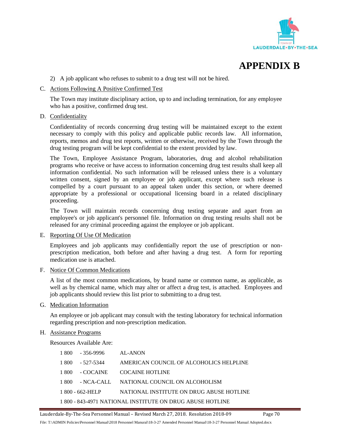



2) A job applicant who refuses to submit to a drug test will not be hired.

#### C. Actions Following A Positive Confirmed Test

The Town may institute disciplinary action, up to and including termination, for any employee who has a positive, confirmed drug test.

### D. Confidentiality

Confidentiality of records concerning drug testing will be maintained except to the extent necessary to comply with this policy and applicable public records law. All information, reports, memos and drug test reports, written or otherwise, received by the Town through the drug testing program will be kept confidential to the extent provided by law.

The Town, Employee Assistance Program, laboratories, drug and alcohol rehabilitation programs who receive or have access to information concerning drug test results shall keep all information confidential. No such information will be released unless there is a voluntary written consent, signed by an employee or job applicant, except where such release is compelled by a court pursuant to an appeal taken under this section, or where deemed appropriate by a professional or occupational licensing board in a related disciplinary proceeding.

The Town will maintain records concerning drug testing separate and apart from an employee's or job applicant's personnel file. Information on drug testing results shall not be released for any criminal proceeding against the employee or job applicant.

### E. Reporting Of Use Of Medication

Employees and job applicants may confidentially report the use of prescription or nonprescription medication, both before and after having a drug test. A form for reporting medication use is attached.

#### F. Notice Of Common Medications

A list of the most common medications, by brand name or common name, as applicable, as well as by chemical name, which may alter or affect a drug test, is attached. Employees and job applicants should review this list prior to submitting to a drug test.

#### G. Medication Information

An employee or job applicant may consult with the testing laboratory for technical information regarding prescription and non-prescription medication.

#### H. Assistance Programs

Resources Available Are:

| 1 800 | - 356-9996       | AL-ANON                                                  |
|-------|------------------|----------------------------------------------------------|
| 1 800 | - 527-5344       | AMERICAN COUNCIL OF ALCOHOLICS HELPLINE                  |
| 1 800 | - COCAINE        | <b>COCAINE HOTLINE</b>                                   |
| 1.800 | - NCA-CALL       | NATIONAL COUNCIL ON ALCOHOLISM                           |
|       | 1 800 - 662-HELP | NATIONAL INSTITUTE ON DRUG ABUSE HOTLINE                 |
|       |                  | 1800 - 843-4971 NATIONAL INSTITUTE ON DRUG ABUSE HOTLINE |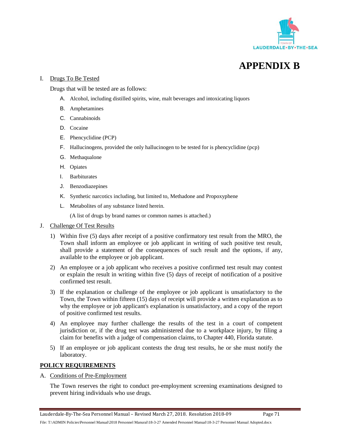



### I. Drugs To Be Tested

Drugs that will be tested are as follows:

- A. Alcohol, including distilled spirits, wine, malt beverages and intoxicating liquors
- B. Amphetamines
- C. Cannabinoids
- D. Cocaine
- E. Phencyclidine (PCP)
- F. Hallucinogens, provided the only hallucinogen to be tested for is phencyclidine (pcp)
- G. Methaqualone
- H. Opiates
- I. Barbiturates
- J. Benzodiazepines
- K. Synthetic narcotics including, but limited to, Methadone and Propoxyphene
- L. Metabolites of any substance listed herein.

(A list of drugs by brand names or common names is attached.)

- J. Challenge Of Test Results
	- 1) Within five (5) days after receipt of a positive confirmatory test result from the MRO, the Town shall inform an employee or job applicant in writing of such positive test result, shall provide a statement of the consequences of such result and the options, if any, available to the employee or job applicant.
	- 2) An employee or a job applicant who receives a positive confirmed test result may contest or explain the result in writing within five (5) days of receipt of notification of a positive confirmed test result.
	- 3) If the explanation or challenge of the employee or job applicant is unsatisfactory to the Town, the Town within fifteen (15) days of receipt will provide a written explanation as to why the employee or job applicant's explanation is unsatisfactory, and a copy of the report of positive confirmed test results.
	- 4) An employee may further challenge the results of the test in a court of competent jurisdiction or, if the drug test was administered due to a workplace injury, by filing a claim for benefits with a judge of compensation claims, to Chapter 440, Florida statute.
	- 5) If an employee or job applicant contests the drug test results, he or she must notify the laboratory.

### **POLICY REQUIREMENTS**

A. Conditions of Pre-Employment

The Town reserves the right to conduct pre-employment screening examinations designed to prevent hiring individuals who use drugs.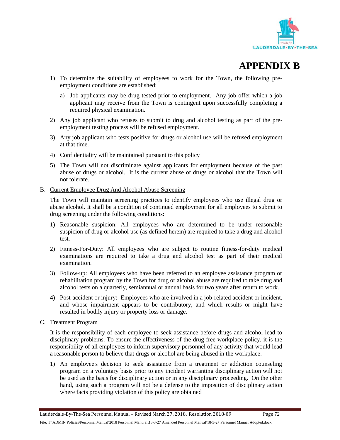

- 1) To determine the suitability of employees to work for the Town, the following preemployment conditions are established:
	- a) Job applicants may be drug tested prior to employment. Any job offer which a job applicant may receive from the Town is contingent upon successfully completing a required physical examination.
- 2) Any job applicant who refuses to submit to drug and alcohol testing as part of the preemployment testing process will be refused employment.
- 3) Any job applicant who tests positive for drugs or alcohol use will be refused employment at that time.
- 4) Confidentiality will be maintained pursuant to this policy
- 5) The Town will not discriminate against applicants for employment because of the past abuse of drugs or alcohol. It is the current abuse of drugs or alcohol that the Town will not tolerate.
- B. Current Employee Drug And Alcohol Abuse Screening

The Town will maintain screening practices to identify employees who use illegal drug or abuse alcohol. It shall be a condition of continued employment for all employees to submit to drug screening under the following conditions:

- 1) Reasonable suspicion: All employees who are determined to be under reasonable suspicion of drug or alcohol use (as defined herein) are required to take a drug and alcohol test.
- 2) Fitness-For-Duty: All employees who are subject to routine fitness-for-duty medical examinations are required to take a drug and alcohol test as part of their medical examination.
- 3) Follow-up: All employees who have been referred to an employee assistance program or rehabilitation program by the Town for drug or alcohol abuse are required to take drug and alcohol tests on a quarterly, semiannual or annual basis for two years after return to work.
- 4) Post-accident or injury: Employees who are involved in a job-related accident or incident, and whose impairment appears to be contributory, and which results or might have resulted in bodily injury or property loss or damage.
- C. Treatment Program

It is the responsibility of each employee to seek assistance before drugs and alcohol lead to disciplinary problems. To ensure the effectiveness of the drug free workplace policy, it is the responsibility of all employees to inform supervisory personnel of any activity that would lead a reasonable person to believe that drugs or alcohol are being abused in the workplace.

1) An employee's decision to seek assistance from a treatment or addiction counseling program on a voluntary basis prior to any incident warranting disciplinary action will not be used as the basis for disciplinary action or in any disciplinary proceeding. On the other hand, using such a program will not be a defense to the imposition of disciplinary action where facts providing violation of this policy are obtained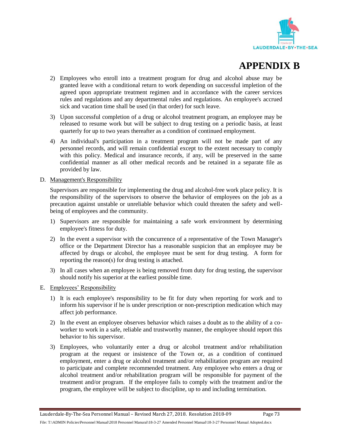

- 2) Employees who enroll into a treatment program for drug and alcohol abuse may be granted leave with a conditional return to work depending on successful impletion of the agreed upon appropriate treatment regimen and in accordance with the career services rules and regulations and any departmental rules and regulations. An employee's accrued sick and vacation time shall be used (in that order) for such leave.
- 3) Upon successful completion of a drug or alcohol treatment program, an employee may be released to resume work but will be subject to drug testing on a periodic basis, at least quarterly for up to two years thereafter as a condition of continued employment.
- 4) An individual's participation in a treatment program will not be made part of any personnel records, and will remain confidential except to the extent necessary to comply with this policy. Medical and insurance records, if any, will be preserved in the same confidential manner as all other medical records and be retained in a separate file as provided by law.
- D. Management's Responsibility

Supervisors are responsible for implementing the drug and alcohol-free work place policy. It is the responsibility of the supervisors to observe the behavior of employees on the job as a precaution against unstable or unreliable behavior which could threaten the safety and wellbeing of employees and the community.

- 1) Supervisors are responsible for maintaining a safe work environment by determining employee's fitness for duty.
- 2) In the event a supervisor with the concurrence of a representative of the Town Manager's office or the Department Director has a reasonable suspicion that an employee may be affected by drugs or alcohol, the employee must be sent for drug testing. A form for reporting the reason(s) for drug testing is attached.
- 3) In all cases when an employee is being removed from duty for drug testing, the supervisor should notify his superior at the earliest possible time.
- E. Employees' Responsibility
	- 1) It is each employee's responsibility to be fit for duty when reporting for work and to inform his supervisor if he is under prescription or non-prescription medication which may affect job performance.
	- 2) In the event an employee observes behavior which raises a doubt as to the ability of a coworker to work in a safe, reliable and trustworthy manner, the employee should report this behavior to his supervisor.
	- 3) Employees, who voluntarily enter a drug or alcohol treatment and/or rehabilitation program at the request or insistence of the Town or, as a condition of continued employment, enter a drug or alcohol treatment and/or rehabilitation program are required to participate and complete recommended treatment. Any employee who enters a drug or alcohol treatment and/or rehabilitation program will be responsible for payment of the treatment and/or program. If the employee fails to comply with the treatment and/or the program, the employee will be subject to discipline, up to and including termination.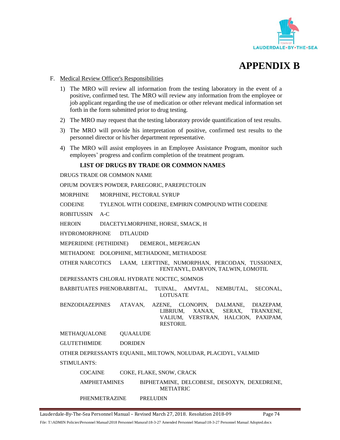



### F. Medical Review Officer's Responsibilities

- 1) The MRO will review all information from the testing laboratory in the event of a positive, confirmed test. The MRO will review any information from the employee or job applicant regarding the use of medication or other relevant medical information set forth in the form submitted prior to drug testing.
- 2) The MRO may request that the testing laboratory provide quantification of test results.
- 3) The MRO will provide his interpretation of positive, confirmed test results to the personnel director or his/her department representative.
- 4) The MRO will assist employees in an Employee Assistance Program, monitor such employees' progress and confirm completion of the treatment program.

### **LIST OF DRUGS BY TRADE OR COMMON NAMES**

DRUGS TRADE OR COMMON NAME

OPIUM DOVER'S POWDER, PAREGORIC, PAREPECTOLIN

MORPHINE MORPHINE, PECTORAL SYRUP

CODEINE TYLENOL WITH CODEINE, EMPIRIN COMPOUND WITH CODEINE

ROBITUSSIN A-C

HEROIN DIACETYLMORPHINE, HORSE, SMACK, H

HYDROMORPHONE DTLAUDID

MEPERIDINE {PETHIDINE) DEMEROL, MEPERGAN

METHADONE DOLOPHINE, METHADONE, METHADOSE

OTHER NARCOTICS LAAM, LERTTINE, NUMORPHAN, PERCODAN, TUSSIONEX, FENTANYL, DARVON, TALWIN, LOMOTIL

DEPRESSANTS CHLORAL HYDRATE NOCTEC, SOMNOS

BARBITUATES PHENOBARBITAL, TUINAL, AMVTAL, NEMBUTAL, SECONAL, LOTUSATE

BENZODIAZEPINES ATAVAN, AZENE, CLONOPIN, DALMANE, DIAZEPAM, LIBRIUM, XANAX, SERAX, TRANXENE, VALIUM, VERSTRAN, HALCION, PAXIPAM, RESTORIL

METHAQUALONE QUAALUDE

GLUTETHIMIDE DORIDEN

OTHER DEPRESSANTS EQUANIL, MILTOWN, NOLUDAR, PLACIDYL, VALMID STIMULANTS:

COCAINE COKE, FLAKE, SNOW, CRACK

AMPHETAMINES BIPHETAMINE, DELCOBESE, DESOXYN, DEXEDRENE, METIATRIC

PHENMETRAZINE PRELUDIN

Lauderdale-By-The-Sea Personnel Manual – Revised March 27, 2018. Resolution 2018-09 Page 74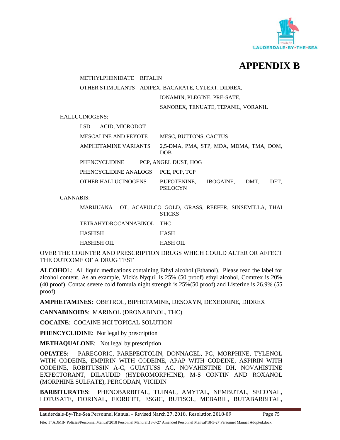



METHYLPHENIDATE RITALIN

OTHER STIMULANTS ADIPEX, BACARATE, CYLERT, DIDREX,

IONAMIN, PLEGINE, PRE-SATE,

SANOREX, TENUATE, TEPANIL, VORANIL

HALLUCINOGENS:

|                  | <b>LSD</b><br><b>ACID, MICRODOT</b> |                                                       |                  |      |      |
|------------------|-------------------------------------|-------------------------------------------------------|------------------|------|------|
|                  | MESCALINE AND PEYOTE                | <b>MESC, BUTTONS, CACTUS</b>                          |                  |      |      |
|                  | <b>AMPHETAMINE VARIANTS</b>         | 2.5-DMA, PMA, STP, MDA, MDMA, TMA, DOM,<br><b>DOB</b> |                  |      |      |
|                  | PHENCYCLIDINE                       | PCP, ANGEL DUST, HOG                                  |                  |      |      |
|                  | PHENCYCLIDINE ANALOGS               | PCE, PCP, TCP                                         |                  |      |      |
|                  | <b>OTHER HALLUCINOGENS</b>          | <b>BUFOTENINE,</b><br><b>PSILOCYN</b>                 | <b>IBOGAINE.</b> | DMT. | DET. |
| <b>CANNABIS:</b> |                                     |                                                       |                  |      |      |

|             | MARIJUANA – OT. ACAPULCO GOLD. GRASS. REEFER. SINSEMILLA. THAI | <b>STICKS</b> |  |  |
|-------------|----------------------------------------------------------------|---------------|--|--|
|             | TETRAHYDROCANNABINOL THC                                       |               |  |  |
| HASHISH     |                                                                | <b>HASH</b>   |  |  |
| HASHISH OIL |                                                                | HASH OIL      |  |  |

OVER THE COUNTER AND PRESCRIPTION DRUGS WHICH COULD ALTER OR AFFECT THE OUTCOME OF A DRUG TEST

**ALCOHO**L: All liquid medications containing Ethyl alcohol (Ethanol). Please read the label for alcohol content. As an example, Vick's Nyquil is 25% (50 proof) ethyl alcohol, Comtrex is 20% (40 proof), Contac severe cold formula night strength is 25%(50 proof) and Listerine is 26.9% (55 proof).

**AMPHETAMINES:** OBETROL, BIPHETAMINE, DESOXYN, DEXEDRINE, DIDREX

**CANNABINOIDS**: MARINOL (DRONABINOL, THC)

**COCAINE**: COCAINE HCI TOPICAL SOLUTION

**PHENCYCLIDINE**: Not legal by prescription

**METHAQUALONE**: Not legal by prescription

**OPIATES:** PAREGORIC, PAREPECTOLIN, DONNAGEL, PG, MORPHINE, TYLENOL WITH CODEINE, EMPIRIN WITH CODEINE, APAP WITH CODEINE, ASPIRIN WITH CODEINE, ROBITUSSIN A-C, GUIATUSS AC, NOVAHISTINE DH, NOVAHISTINE EXPECTORANT, DILAUDID (HYDROMORPHINE), M-S CONTIN AND ROXANOL (MORPHINE SULFATE), PERCODAN, VICIDIN

**BARBITURATES**: PHENOBARBITAL, TUINAL, AMYTAL, NEMBUTAL, SECONAL, LOTUSATE, FIORINAL, FIORICET, ESGIC, BUTISOL, MEBARIL, BUTABARBITAL,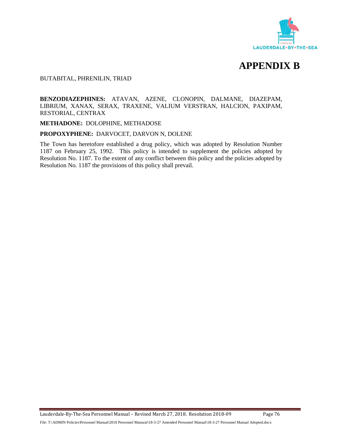



BUTABITAL, PHRENILIN, TRIAD

### **BENZODIAZEPHINES:** ATAVAN, AZENE, CLONOPIN, DALMANE, DIAZEPAM, LIBRIUM, XANAX, SERAX, TRAXENE, VALIUM VERSTRAN, HALCION, PAXIPAM, RESTORIAL, CENTRAX

### **METHADONE:** DOLOPHINE, METHADOSE

#### **PROPOXYPHENE:** DARVOCET, DARVON N, DOLENE

The Town has heretofore established a drug policy, which was adopted by Resolution Number 1187 on February 25, 1992. This policy is intended to supplement the policies adopted by Resolution No. 1187. To the extent of any conflict between this policy and the policies adopted by Resolution No. 1187 the provisions of this policy shall prevail.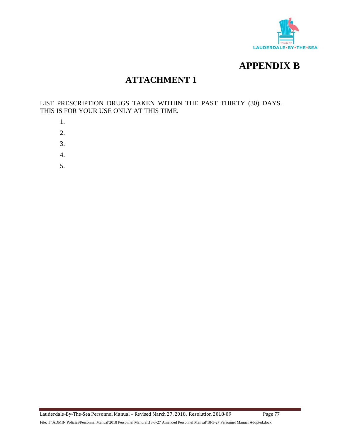



### **ATTACHMENT 1**

LIST PRESCRIPTION DRUGS TAKEN WITHIN THE PAST THIRTY (30) DAYS. THIS IS FOR YOUR USE ONLY AT THIS TIME.

- 1.
- 2.
- 3.
- 
- 4.
- 5.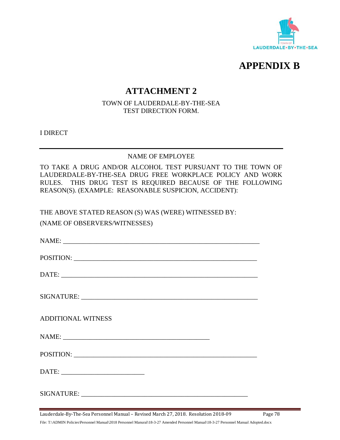



### **ATTACHMENT 2**

TOWN OF LAUDERDALE-BY-THE-SEA TEST DIRECTION FORM.

I DIRECT

### NAME OF EMPLOYEE

TO TAKE A DRUG AND/OR ALCOHOL TEST PURSUANT TO THE TOWN OF LAUDERDALE-BY-THE-SEA DRUG FREE WORKPLACE POLICY AND WORK RULES. THIS DRUG TEST IS REQUIRED BECAUSE OF THE FOLLOWING REASON(S). (EXAMPLE: REASONABLE SUSPICION, ACCIDENT):

THE ABOVE STATED REASON (S) WAS (WERE) WITNESSED BY: (NAME OF OBSERVERS/WITNESSES)

| POSITION:                 |
|---------------------------|
| DATE:                     |
|                           |
| <b>ADDITIONAL WITNESS</b> |
|                           |
|                           |
|                           |
|                           |

Lauderdale-By-The-Sea Personnel Manual – Revised March 27, 2018. Resolution 2018-09 Page 78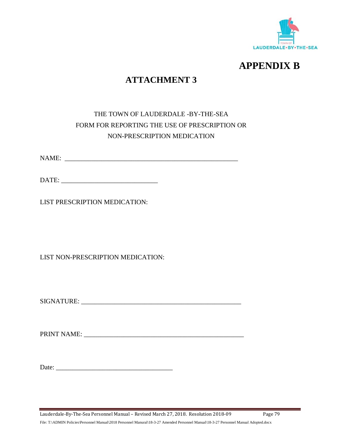



## **ATTACHMENT 3**

### THE TOWN OF LAUDERDALE -BY-THE-SEA FORM FOR REPORTING THE USE OF PRESCRIPTION OR NON-PRESCRIPTION MEDICATION

NAME: \_\_\_\_\_\_\_\_\_\_\_\_\_\_\_\_\_\_\_\_\_\_\_\_\_\_\_\_\_\_\_\_\_\_\_\_\_\_\_\_\_\_\_\_\_\_\_\_\_\_\_\_

DATE: \_\_\_\_\_\_\_\_\_\_\_\_\_\_\_\_\_\_\_\_\_\_\_\_\_\_\_\_\_

LIST PRESCRIPTION MEDICATION:

LIST NON-PRESCRIPTION MEDICATION:

SIGNATURE: \_\_\_\_\_\_\_\_\_\_\_\_\_\_\_\_\_\_\_\_\_\_\_\_\_\_\_\_\_\_\_\_\_\_\_\_\_\_\_\_\_\_\_\_\_\_\_\_

PRINT NAME:

Date:

Lauderdale-By-The-Sea Personnel Manual – Revised March 27, 2018. Resolution 2018-09 Page 79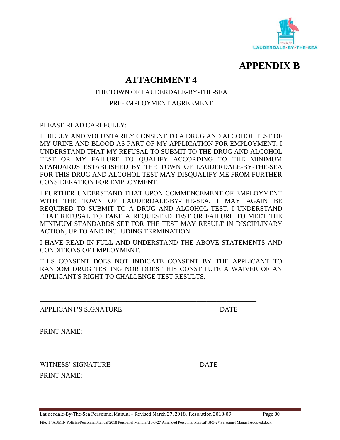

### **ATTACHMENT 4**

THE TOWN OF LAUDERDALE-BY-THE-SEA

PRE-EMPLOYMENT AGREEMENT

PLEASE READ CAREFULLY:

I FREELY AND VOLUNTARILY CONSENT TO A DRUG AND ALCOHOL TEST OF MY URINE AND BLOOD AS PART OF MY APPLICATION FOR EMPLOYMENT. I UNDERSTAND THAT MY REFUSAL TO SUBMIT TO THE DRUG AND ALCOHOL TEST OR MY FAILURE TO QUALIFY ACCORDING TO THE MINIMUM STANDARDS ESTABLISHED BY THE TOWN OF LAUDERDALE-BY-THE-SEA FOR THIS DRUG AND ALCOHOL TEST MAY DISQUALIFY ME FROM FURTHER CONSIDERATION FOR EMPLOYMENT.

I FURTHER UNDERSTAND THAT UPON COMMENCEMENT OF EMPLOYMENT WITH THE TOWN OF LAUDERDALE-BY-THE-SEA, I MAY AGAIN BE REQUIRED TO SUBMIT TO A DRUG AND ALCOHOL TEST. I UNDERSTAND THAT REFUSAL TO TAKE A REQUESTED TEST OR FAILURE TO MEET THE MINIMUM STANDARDS SET FOR THE TEST MAY RESULT IN DISCIPLINARY ACTION, UP TO AND INCLUDING TERMINATION.

I HAVE READ IN FULL AND UNDERSTAND THE ABOVE STATEMENTS AND CONDITIONS OF EMPLOYMENT.

THIS CONSENT DOES NOT INDICATE CONSENT BY THE APPLICANT TO RANDOM DRUG TESTING NOR DOES THIS CONSTITUTE A WAIVER OF AN APPLICANT'S RIGHT TO CHALLENGE TEST RESULTS.

| <b>APPLICANT'S SIGNATURE</b> | <b>DATE</b> |
|------------------------------|-------------|
|                              |             |
|                              |             |

Lauderdale-By-The-Sea Personnel Manual – Revised March 27, 2018. Resolution 2018-09 Page 80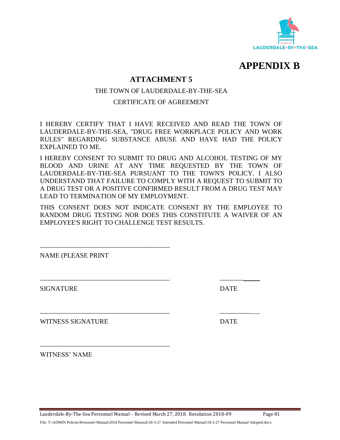

### **ATTACHMENT 5**

### THE TOWN OF LAUDERDALE-BY-THE-SEA

### CERTIFICATE OF AGREEMENT

I HEREBY CERTIFY THAT I HAVE RECEIVED AND READ THE TOWN OF LAUDERDALE-BY-THE-SEA, "DRUG FREE WORKPLACE POLICY AND WORK RULES" REGARDING SUBSTANCE ABUSE AND HAVE HAD THE POLICY EXPLAINED TO ME.

I HEREBY CONSENT TO SUBMIT TO DRUG AND ALCOHOL TESTING OF MY BLOOD AND URINE AT ANY TIME REQUESTED BY THE TOWN OF LAUDERDALE-BY-THE-SEA PURSUANT TO THE TOWN'S POLICY. I ALSO UNDERSTAND THAT FAILURE TO COMPLY WITH A REQUEST TO SUBMIT TO A DRUG TEST OR A POSITIVE CONFIRMED RESULT FROM A DRUG TEST MAY LEAD TO TERMINATION OF MY EMPLOYMENT.

THIS CONSENT DOES NOT INDICATE CONSENT BY THE EMPLOYEE TO RANDOM DRUG TESTING NOR DOES THIS CONSTITUTE A WAIVER OF AN EMPLOYEE'S RIGHT TO CHALLENGE TEST RESULTS.

NAME (PLEASE PRINT

\_\_\_\_\_\_\_\_\_\_\_\_\_\_\_\_\_\_\_\_\_\_\_\_\_\_\_\_\_\_\_\_\_\_\_\_\_\_\_

\_\_\_\_\_\_\_\_\_\_\_\_\_\_\_\_\_\_\_\_\_\_\_\_\_\_\_\_\_\_\_\_\_\_\_\_\_\_\_

SIGNATURE DATE

WITNESS SIGNATURE DATE

WITNESS' NAME

Lauderdale-By-The-Sea Personnel Manual – Revised March 27, 2018. Resolution 2018-09 Page 81

\_\_\_\_\_\_\_\_\_\_\_\_\_\_\_\_\_\_\_\_\_\_\_\_\_\_\_\_\_\_\_\_\_\_\_\_\_\_\_ \_\_\_\_\_\_\_

\_\_\_\_\_\_\_\_\_\_\_\_\_\_\_\_\_\_\_\_\_\_\_\_\_\_\_\_\_\_\_\_\_\_\_\_\_\_\_ \_\_\_\_\_\_\_\_\_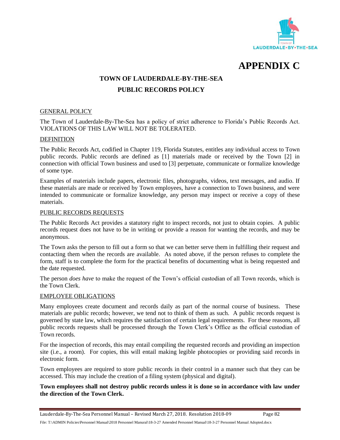

**APPENDIX C**

### **TOWN OF LAUDERDALE-BY-THE-SEA**

### **PUBLIC RECORDS POLICY**

### GENERAL POLICY

The Town of Lauderdale-By-The-Sea has a policy of strict adherence to Florida's Public Records Act. VIOLATIONS OF THIS LAW WILL NOT BE TOLERATED.

### DEFINITION

The Public Records Act, codified in Chapter 119, Florida Statutes, entitles any individual access to Town public records. Public records are defined as [1] materials made or received by the Town [2] in connection with official Town business and used to [3] perpetuate, communicate or formalize knowledge of some type.

Examples of materials include papers, electronic files, photographs, videos, text messages, and audio. If these materials are made or received by Town employees, have a connection to Town business, and were intended to communicate or formalize knowledge, any person may inspect or receive a copy of these materials.

### PUBLIC RECORDS REQUESTS

The Public Records Act provides a statutory right to inspect records, not just to obtain copies. A public records request does not have to be in writing or provide a reason for wanting the records, and may be anonymous.

The Town asks the person to fill out a form so that we can better serve them in fulfilling their request and contacting them when the records are available. As noted above, if the person refuses to complete the form, staff is to complete the form for the practical benefits of documenting what is being requested and the date requested.

The person *does have* to make the request of the Town's official custodian of all Town records, which is the Town Clerk.

### EMPLOYEE OBLIGATIONS

Many employees create document and records daily as part of the normal course of business. These materials are public records; however, we tend not to think of them as such. A public records request is governed by state law, which requires the satisfaction of certain legal requirements. For these reasons, all public records requests shall be processed through the Town Clerk's Office as the official custodian of Town records.

For the inspection of records, this may entail compiling the requested records and providing an inspection site (i.e., a room). For copies, this will entail making legible photocopies or providing said records in electronic form.

Town employees are required to store public records in their control in a manner such that they can be accessed. This may include the creation of a filing system (physical and digital).

### **Town employees shall not destroy public records unless it is done so in accordance with law under the direction of the Town Clerk.**

Lauderdale-By-The-Sea Personnel Manual – Revised March 27, 2018. Resolution 2018-09 Page 82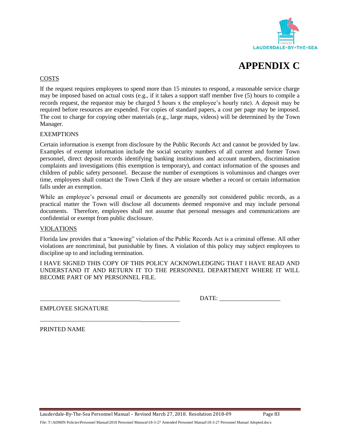



### COSTS

If the request requires employees to spend more than 15 minutes to respond, a reasonable service charge may be imposed based on actual costs (e.g., if it takes a support staff member five (5) hours to compile a records request, the requestor may be charged 5 hours x the employee's hourly rate). A deposit may be required before resources are expended. For copies of standard papers, a cost per page may be imposed. The cost to charge for copying other materials (e.g., large maps, videos) will be determined by the Town Manager.

### **EXEMPTIONS**

Certain information is exempt from disclosure by the Public Records Act and cannot be provided by law. Examples of exempt information include the social security numbers of all current and former Town personnel, direct deposit records identifying banking institutions and account numbers, discrimination complaints and investigations (this exemption is temporary), and contact information of the spouses and children of public safety personnel. Because the number of exemptions is voluminous and changes over time, employees shall contact the Town Clerk if they are unsure whether a record or certain information falls under an exemption.

While an employee's personal email or documents are generally not considered public records, as a practical matter the Town will disclose all documents deemed responsive and may include personal documents. Therefore, employees shall not assume that personal messages and communications are confidential or exempt from public disclosure.

#### VIOLATIONS

Florida law provides that a "knowing" violation of the Public Records Act is a criminal offense. All other violations are noncriminal, but punishable by fines. A violation of this policy may subject employees to discipline up to and including termination.

I HAVE SIGNED THIS COPY OF THIS POLICY ACKNOWLEDGING THAT I HAVE READ AND UNDERSTAND IT AND RETURN IT TO THE PERSONNEL DEPARTMENT WHERE IT WILL BECOME PART OF MY PERSONNEL FILE.

DATE:

EMPLOYEE SIGNATURE

\_\_\_\_\_\_\_\_\_\_\_\_\_\_\_\_\_\_\_\_\_\_\_\_\_\_\_\_\_\_\_\_\_

PRINTED NAME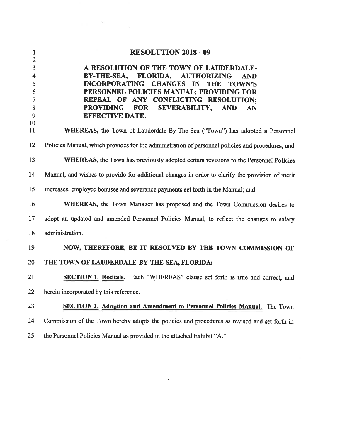| $\mathbf{1}$                                                   | <b>RESOLUTION 2018 - 09</b>                                                                                                                                                                                                                                                                                                             |
|----------------------------------------------------------------|-----------------------------------------------------------------------------------------------------------------------------------------------------------------------------------------------------------------------------------------------------------------------------------------------------------------------------------------|
| $\overline{2}$<br>3<br>4<br>5<br>6<br>$\overline{7}$<br>8<br>9 | A RESOLUTION OF THE TOWN OF LAUDERDALE-<br>BY-THE-SEA, FLORIDA, AUTHORIZING<br><b>AND</b><br>INCORPORATING CHANGES IN THE<br><b>TOWN'S</b><br>PERSONNEL POLICIES MANUAL; PROVIDING FOR<br>REPEAL OF ANY CONFLICTING RESOLUTION;<br><b>PROVIDING</b><br><b>FOR</b><br><b>SEVERABILITY,</b><br><b>AND</b><br>AN<br><b>EFFECTIVE DATE.</b> |
| 10<br>11                                                       | WHEREAS, the Town of Lauderdale-By-The-Sea ("Town") has adopted a Personnel                                                                                                                                                                                                                                                             |
| 12                                                             | Policies Manual, which provides for the administration of personnel policies and procedures; and                                                                                                                                                                                                                                        |
| 13                                                             | <b>WHEREAS</b> , the Town has previously adopted certain revisions to the Personnel Policies                                                                                                                                                                                                                                            |
| 14                                                             | Manual, and wishes to provide for additional changes in order to clarify the provision of merit                                                                                                                                                                                                                                         |
| 15                                                             | increases, employee bonuses and severance payments set forth in the Manual; and                                                                                                                                                                                                                                                         |
| 16                                                             | WHEREAS, the Town Manager has proposed and the Town Commission desires to                                                                                                                                                                                                                                                               |
| 17                                                             | adopt an updated and amended Personnel Policies Manual, to reflect the changes to salary                                                                                                                                                                                                                                                |
| 18                                                             | administration.                                                                                                                                                                                                                                                                                                                         |
| 19                                                             | NOW, THEREFORE, BE IT RESOLVED BY THE TOWN COMMISSION OF                                                                                                                                                                                                                                                                                |
| 20                                                             | THE TOWN OF LAUDERDALE-BY-THE-SEA, FLORIDA:                                                                                                                                                                                                                                                                                             |
| 21                                                             | <b>SECTION 1. Recitals.</b> Each "WHEREAS" clause set forth is true and correct, and                                                                                                                                                                                                                                                    |
| 22                                                             | herein incorporated by this reference.                                                                                                                                                                                                                                                                                                  |
| 23                                                             | <b>SECTION 2. Adoption and Amendment to Personnel Policies Manual.</b> The Town                                                                                                                                                                                                                                                         |
| 24                                                             | Commission of the Town hereby adopts the policies and procedures as revised and set forth in                                                                                                                                                                                                                                            |
| 25                                                             | the Personnel Policies Manual as provided in the attached Exhibit "A."                                                                                                                                                                                                                                                                  |

 $\begin{array}{ccc} & 1 & \end{array}$